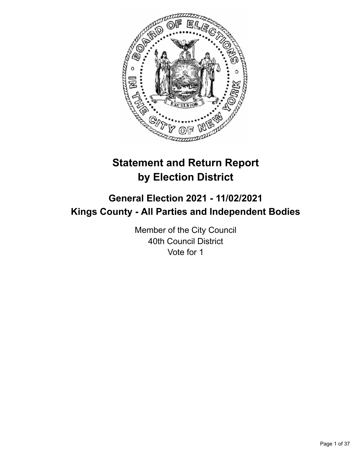

# **Statement and Return Report by Election District**

# **General Election 2021 - 11/02/2021 Kings County - All Parties and Independent Bodies**

Member of the City Council 40th Council District Vote for 1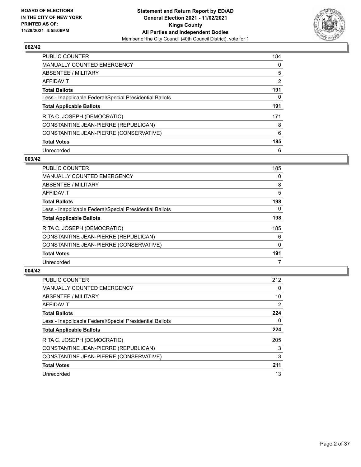

| <b>PUBLIC COUNTER</b>                                    | 184 |
|----------------------------------------------------------|-----|
| <b>MANUALLY COUNTED EMERGENCY</b>                        | 0   |
| ABSENTEE / MILITARY                                      | 5   |
| AFFIDAVIT                                                | 2   |
| <b>Total Ballots</b>                                     | 191 |
| Less - Inapplicable Federal/Special Presidential Ballots | 0   |
| <b>Total Applicable Ballots</b>                          | 191 |
| RITA C. JOSEPH (DEMOCRATIC)                              | 171 |
| CONSTANTINE JEAN-PIERRE (REPUBLICAN)                     | 8   |
| CONSTANTINE JEAN-PIERRE (CONSERVATIVE)                   | 6   |
| <b>Total Votes</b>                                       | 185 |
| Unrecorded                                               | 6   |

#### **003/42**

| <b>PUBLIC COUNTER</b>                                    | 185          |
|----------------------------------------------------------|--------------|
| <b>MANUALLY COUNTED EMERGENCY</b>                        | 0            |
| ABSENTEE / MILITARY                                      | 8            |
| <b>AFFIDAVIT</b>                                         | 5            |
| <b>Total Ballots</b>                                     | 198          |
| Less - Inapplicable Federal/Special Presidential Ballots | 0            |
| <b>Total Applicable Ballots</b>                          | 198          |
| RITA C. JOSEPH (DEMOCRATIC)                              | 185          |
| CONSTANTINE JEAN-PIERRE (REPUBLICAN)                     | 6            |
| CONSTANTINE JEAN-PIERRE (CONSERVATIVE)                   | $\mathbf{0}$ |
| <b>Total Votes</b>                                       | 191          |
| Unrecorded                                               |              |

| <b>PUBLIC COUNTER</b>                                    | 212            |
|----------------------------------------------------------|----------------|
| <b>MANUALLY COUNTED EMERGENCY</b>                        | 0              |
| <b>ABSENTEE / MILITARY</b>                               | 10             |
| <b>AFFIDAVIT</b>                                         | $\overline{2}$ |
| <b>Total Ballots</b>                                     | 224            |
| Less - Inapplicable Federal/Special Presidential Ballots | 0              |
| <b>Total Applicable Ballots</b>                          | 224            |
| RITA C. JOSEPH (DEMOCRATIC)                              | 205            |
| CONSTANTINE JEAN-PIERRE (REPUBLICAN)                     | 3              |
| CONSTANTINE JEAN-PIERRE (CONSERVATIVE)                   | 3              |
| <b>Total Votes</b>                                       | 211            |
| Unrecorded                                               | 13             |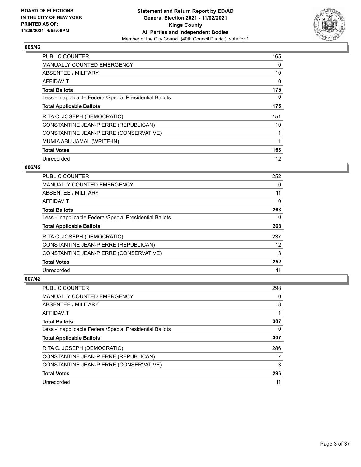

| <b>PUBLIC COUNTER</b>                                    | 165 |
|----------------------------------------------------------|-----|
| <b>MANUALLY COUNTED EMERGENCY</b>                        | 0   |
| ABSENTEE / MILITARY                                      | 10  |
| AFFIDAVIT                                                | 0   |
| <b>Total Ballots</b>                                     | 175 |
| Less - Inapplicable Federal/Special Presidential Ballots | 0   |
| <b>Total Applicable Ballots</b>                          | 175 |
| RITA C. JOSEPH (DEMOCRATIC)                              | 151 |
| CONSTANTINE JEAN-PIERRE (REPUBLICAN)                     | 10  |
| CONSTANTINE JEAN-PIERRE (CONSERVATIVE)                   |     |
| MUMIA ABU JAMAL (WRITE-IN)                               |     |
| <b>Total Votes</b>                                       | 163 |
| Unrecorded                                               | 12  |

#### **006/42**

| <b>PUBLIC COUNTER</b>                                    | 252 |
|----------------------------------------------------------|-----|
| <b>MANUALLY COUNTED EMERGENCY</b>                        | 0   |
| ABSENTEE / MILITARY                                      | 11  |
| <b>AFFIDAVIT</b>                                         | 0   |
| <b>Total Ballots</b>                                     | 263 |
| Less - Inapplicable Federal/Special Presidential Ballots | 0   |
| <b>Total Applicable Ballots</b>                          | 263 |
| RITA C. JOSEPH (DEMOCRATIC)                              | 237 |
| CONSTANTINE JEAN-PIERRE (REPUBLICAN)                     | 12  |
| CONSTANTINE JEAN-PIERRE (CONSERVATIVE)                   | 3   |
| <b>Total Votes</b>                                       | 252 |
| Unrecorded                                               | 11  |

| <b>PUBLIC COUNTER</b>                                    | 298 |
|----------------------------------------------------------|-----|
| <b>MANUALLY COUNTED EMERGENCY</b>                        | 0   |
| ABSENTEE / MILITARY                                      | 8   |
| AFFIDAVIT                                                |     |
| <b>Total Ballots</b>                                     | 307 |
| Less - Inapplicable Federal/Special Presidential Ballots | 0   |
| <b>Total Applicable Ballots</b>                          | 307 |
| RITA C. JOSEPH (DEMOCRATIC)                              | 286 |
|                                                          |     |
| CONSTANTINE JEAN-PIERRE (REPUBLICAN)                     |     |
| CONSTANTINE JEAN-PIERRE (CONSERVATIVE)                   | 3   |
| <b>Total Votes</b>                                       | 296 |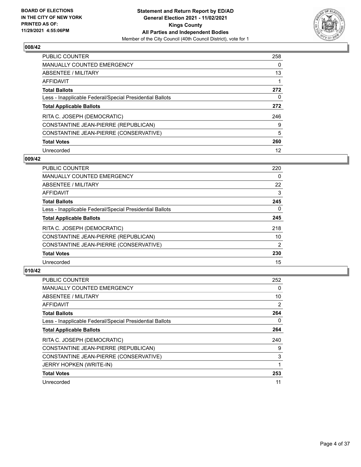

| <b>PUBLIC COUNTER</b>                                    | 258 |
|----------------------------------------------------------|-----|
| MANUALLY COUNTED EMERGENCY                               | 0   |
| ABSENTEE / MILITARY                                      | 13  |
| AFFIDAVIT                                                |     |
| <b>Total Ballots</b>                                     | 272 |
| Less - Inapplicable Federal/Special Presidential Ballots | 0   |
| <b>Total Applicable Ballots</b>                          | 272 |
|                                                          |     |
| RITA C. JOSEPH (DEMOCRATIC)                              | 246 |
| CONSTANTINE JEAN-PIERRE (REPUBLICAN)                     | 9   |
| CONSTANTINE JEAN-PIERRE (CONSERVATIVE)                   | 5   |
| <b>Total Votes</b>                                       | 260 |

#### **009/42**

| <b>PUBLIC COUNTER</b>                                    | 220            |
|----------------------------------------------------------|----------------|
| <b>MANUALLY COUNTED EMERGENCY</b>                        | 0              |
| <b>ABSENTEE / MILITARY</b>                               | 22             |
| <b>AFFIDAVIT</b>                                         | 3              |
| <b>Total Ballots</b>                                     | 245            |
| Less - Inapplicable Federal/Special Presidential Ballots | $\Omega$       |
| <b>Total Applicable Ballots</b>                          | 245            |
| RITA C. JOSEPH (DEMOCRATIC)                              | 218            |
| CONSTANTINE JEAN-PIERRE (REPUBLICAN)                     | 10             |
| CONSTANTINE JEAN-PIERRE (CONSERVATIVE)                   | $\overline{2}$ |
| <b>Total Votes</b>                                       | 230            |
| Unrecorded                                               | 15             |

| <b>PUBLIC COUNTER</b>                                    | 252 |
|----------------------------------------------------------|-----|
| <b>MANUALLY COUNTED EMERGENCY</b>                        | 0   |
| ABSENTEE / MILITARY                                      | 10  |
| AFFIDAVIT                                                | 2   |
| <b>Total Ballots</b>                                     | 264 |
| Less - Inapplicable Federal/Special Presidential Ballots | 0   |
| <b>Total Applicable Ballots</b>                          | 264 |
| RITA C. JOSEPH (DEMOCRATIC)                              | 240 |
| CONSTANTINE JEAN-PIERRE (REPUBLICAN)                     | 9   |
| CONSTANTINE JEAN-PIERRE (CONSERVATIVE)                   | 3   |
| JERRY HOPKEN (WRITE-IN)                                  |     |
| <b>Total Votes</b>                                       | 253 |
| Unrecorded                                               | 11  |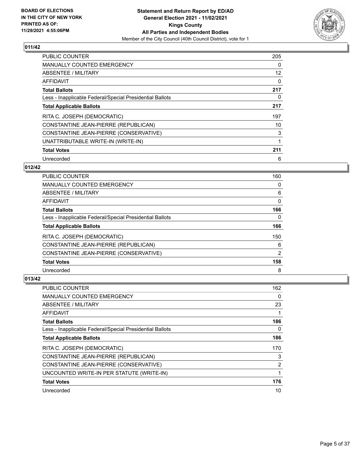

| <b>PUBLIC COUNTER</b>                                    | 205 |
|----------------------------------------------------------|-----|
| <b>MANUALLY COUNTED EMERGENCY</b>                        | 0   |
| ABSENTEE / MILITARY                                      | 12  |
| <b>AFFIDAVIT</b>                                         | 0   |
| <b>Total Ballots</b>                                     | 217 |
| Less - Inapplicable Federal/Special Presidential Ballots | 0   |
| <b>Total Applicable Ballots</b>                          | 217 |
| RITA C. JOSEPH (DEMOCRATIC)                              | 197 |
| CONSTANTINE JEAN-PIERRE (REPUBLICAN)                     | 10  |
| CONSTANTINE JEAN-PIERRE (CONSERVATIVE)                   | 3   |
| UNATTRIBUTABLE WRITE-IN (WRITE-IN)                       |     |
| <b>Total Votes</b>                                       | 211 |
| Unrecorded                                               | 6   |

## **012/42**

| <b>PUBLIC COUNTER</b>                                    | 160      |
|----------------------------------------------------------|----------|
| <b>MANUALLY COUNTED EMERGENCY</b>                        | 0        |
| ABSENTEE / MILITARY                                      | 6        |
| AFFIDAVIT                                                | $\Omega$ |
| <b>Total Ballots</b>                                     | 166      |
| Less - Inapplicable Federal/Special Presidential Ballots | 0        |
| <b>Total Applicable Ballots</b>                          | 166      |
| RITA C. JOSEPH (DEMOCRATIC)                              | 150      |
| CONSTANTINE JEAN-PIERRE (REPUBLICAN)                     | 6        |
| CONSTANTINE JEAN-PIERRE (CONSERVATIVE)                   | 2        |
| <b>Total Votes</b>                                       | 158      |
| Unrecorded                                               | 8        |

| <b>PUBLIC COUNTER</b>                                    | 162 |
|----------------------------------------------------------|-----|
| <b>MANUALLY COUNTED EMERGENCY</b>                        | 0   |
| ABSENTEE / MILITARY                                      | 23  |
| AFFIDAVIT                                                |     |
| <b>Total Ballots</b>                                     | 186 |
| Less - Inapplicable Federal/Special Presidential Ballots | 0   |
| <b>Total Applicable Ballots</b>                          | 186 |
| RITA C. JOSEPH (DEMOCRATIC)                              | 170 |
| CONSTANTINE JEAN-PIERRE (REPUBLICAN)                     | 3   |
| CONSTANTINE JEAN-PIERRE (CONSERVATIVE)                   | 2   |
| UNCOUNTED WRITE-IN PER STATUTE (WRITE-IN)                |     |
| <b>Total Votes</b>                                       | 176 |
| Unrecorded                                               | 10  |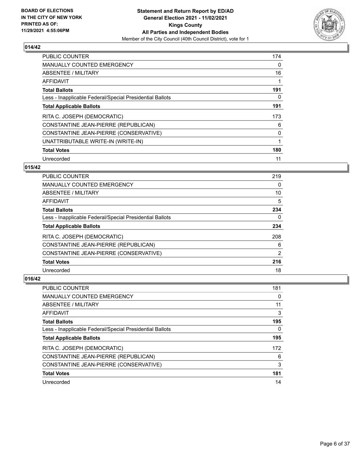

| <b>PUBLIC COUNTER</b>                                    | 174 |
|----------------------------------------------------------|-----|
| <b>MANUALLY COUNTED EMERGENCY</b>                        | 0   |
| ABSENTEE / MILITARY                                      | 16  |
| <b>AFFIDAVIT</b>                                         |     |
| <b>Total Ballots</b>                                     | 191 |
| Less - Inapplicable Federal/Special Presidential Ballots | 0   |
| <b>Total Applicable Ballots</b>                          | 191 |
| RITA C. JOSEPH (DEMOCRATIC)                              | 173 |
| CONSTANTINE JEAN-PIERRE (REPUBLICAN)                     | 6   |
| CONSTANTINE JEAN-PIERRE (CONSERVATIVE)                   | 0   |
| UNATTRIBUTABLE WRITE-IN (WRITE-IN)                       | 1   |
| <b>Total Votes</b>                                       | 180 |
| Unrecorded                                               | 11  |

## **015/42**

| <b>PUBLIC COUNTER</b>                                    | 219           |
|----------------------------------------------------------|---------------|
| <b>MANUALLY COUNTED EMERGENCY</b>                        | 0             |
| ABSENTEE / MILITARY                                      | 10            |
| <b>AFFIDAVIT</b>                                         | 5             |
| <b>Total Ballots</b>                                     | 234           |
| Less - Inapplicable Federal/Special Presidential Ballots | $\Omega$      |
| <b>Total Applicable Ballots</b>                          | 234           |
| RITA C. JOSEPH (DEMOCRATIC)                              | 208           |
| CONSTANTINE JEAN-PIERRE (REPUBLICAN)                     | 6             |
| CONSTANTINE JEAN-PIERRE (CONSERVATIVE)                   | $\mathcal{P}$ |
| <b>Total Votes</b>                                       | 216           |
| Unrecorded                                               | 18            |

| <b>PUBLIC COUNTER</b>                                    | 181 |
|----------------------------------------------------------|-----|
| MANUALLY COUNTED EMERGENCY                               | 0   |
| ABSENTEE / MILITARY                                      | 11  |
| AFFIDAVIT                                                | 3   |
| <b>Total Ballots</b>                                     | 195 |
| Less - Inapplicable Federal/Special Presidential Ballots | 0   |
| <b>Total Applicable Ballots</b>                          | 195 |
| RITA C. JOSEPH (DEMOCRATIC)                              | 172 |
| CONSTANTINE JEAN-PIERRE (REPUBLICAN)                     | 6   |
| CONSTANTINE JEAN-PIERRE (CONSERVATIVE)                   | 3   |
| <b>Total Votes</b>                                       | 181 |
| Unrecorded                                               | 14  |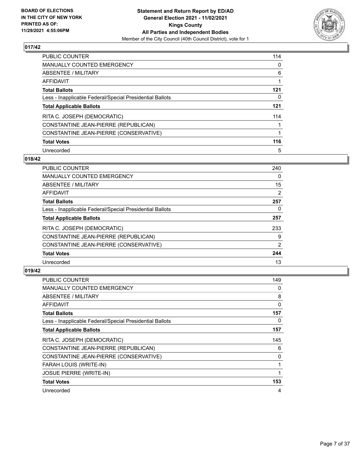

| PUBLIC COUNTER                                           | 114 |
|----------------------------------------------------------|-----|
| <b>MANUALLY COUNTED EMERGENCY</b>                        | 0   |
| ABSENTEE / MILITARY                                      | 6   |
| AFFIDAVIT                                                |     |
| <b>Total Ballots</b>                                     | 121 |
| Less - Inapplicable Federal/Special Presidential Ballots | 0   |
| <b>Total Applicable Ballots</b>                          | 121 |
| RITA C. JOSEPH (DEMOCRATIC)                              | 114 |
| CONSTANTINE JEAN-PIERRE (REPUBLICAN)                     |     |
| CONSTANTINE JEAN-PIERRE (CONSERVATIVE)                   |     |
| <b>Total Votes</b>                                       | 116 |
| Unrecorded                                               | 5   |

#### **018/42**

| <b>PUBLIC COUNTER</b>                                    | 240 |
|----------------------------------------------------------|-----|
| MANUALLY COUNTED EMERGENCY                               | 0   |
| ABSENTEE / MILITARY                                      | 15  |
| <b>AFFIDAVIT</b>                                         | 2   |
| <b>Total Ballots</b>                                     | 257 |
| Less - Inapplicable Federal/Special Presidential Ballots | 0   |
| <b>Total Applicable Ballots</b>                          | 257 |
| RITA C. JOSEPH (DEMOCRATIC)                              | 233 |
| CONSTANTINE JEAN-PIERRE (REPUBLICAN)                     | 9   |
| CONSTANTINE JEAN-PIERRE (CONSERVATIVE)                   | 2   |
| <b>Total Votes</b>                                       | 244 |
| Unrecorded                                               | 13  |

| <b>PUBLIC COUNTER</b>                                    | 149      |
|----------------------------------------------------------|----------|
| <b>MANUALLY COUNTED EMERGENCY</b>                        | 0        |
| ABSENTEE / MILITARY                                      | 8        |
| AFFIDAVIT                                                | $\Omega$ |
| <b>Total Ballots</b>                                     | 157      |
| Less - Inapplicable Federal/Special Presidential Ballots | 0        |
| <b>Total Applicable Ballots</b>                          | 157      |
| RITA C. JOSEPH (DEMOCRATIC)                              | 145      |
| CONSTANTINE JEAN-PIERRE (REPUBLICAN)                     | 6        |
| CONSTANTINE JEAN-PIERRE (CONSERVATIVE)                   | 0        |
| FARAH LOUIS (WRITE-IN)                                   |          |
| <b>JOSUE PIERRE (WRITE-IN)</b>                           | 1        |
| <b>Total Votes</b>                                       | 153      |
| Unrecorded                                               | 4        |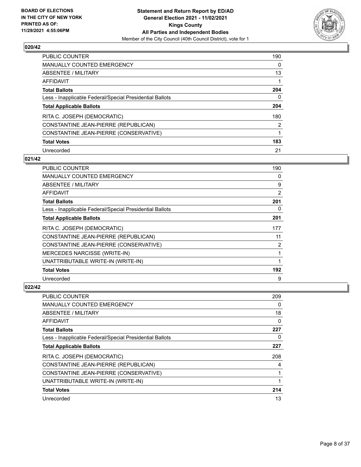

| PUBLIC COUNTER                                           | 190      |
|----------------------------------------------------------|----------|
| MANUALLY COUNTED EMERGENCY                               | $\Omega$ |
| ABSENTEE / MILITARY                                      | 13       |
| AFFIDAVIT                                                |          |
| <b>Total Ballots</b>                                     | 204      |
| Less - Inapplicable Federal/Special Presidential Ballots | 0        |
| <b>Total Applicable Ballots</b>                          | 204      |
| RITA C. JOSEPH (DEMOCRATIC)                              | 180      |
| CONSTANTINE JEAN-PIERRE (REPUBLICAN)                     | 2        |
| CONSTANTINE JEAN-PIERRE (CONSERVATIVE)                   |          |
| <b>Total Votes</b>                                       | 183      |
| Unrecorded                                               | 21       |

#### **021/42**

| <b>PUBLIC COUNTER</b>                                    | 190 |
|----------------------------------------------------------|-----|
| <b>MANUALLY COUNTED EMERGENCY</b>                        | 0   |
| ABSENTEE / MILITARY                                      | 9   |
| AFFIDAVIT                                                | 2   |
| <b>Total Ballots</b>                                     | 201 |
| Less - Inapplicable Federal/Special Presidential Ballots | 0   |
| <b>Total Applicable Ballots</b>                          | 201 |
| RITA C. JOSEPH (DEMOCRATIC)                              | 177 |
| CONSTANTINE JEAN-PIERRE (REPUBLICAN)                     | 11  |
| CONSTANTINE JEAN-PIERRE (CONSERVATIVE)                   | 2   |
| <b>MERCEDES NARCISSE (WRITE-IN)</b>                      | 1   |
| UNATTRIBUTABLE WRITE-IN (WRITE-IN)                       | 1   |
| <b>Total Votes</b>                                       | 192 |
| Unrecorded                                               | 9   |

| <b>PUBLIC COUNTER</b>                                    | 209 |
|----------------------------------------------------------|-----|
| MANUALLY COUNTED EMERGENCY                               | 0   |
| ABSENTEE / MILITARY                                      | 18  |
| AFFIDAVIT                                                | 0   |
| <b>Total Ballots</b>                                     | 227 |
| Less - Inapplicable Federal/Special Presidential Ballots | 0   |
| <b>Total Applicable Ballots</b>                          | 227 |
| RITA C. JOSEPH (DEMOCRATIC)                              | 208 |
| CONSTANTINE JEAN-PIERRE (REPUBLICAN)                     | 4   |
| CONSTANTINE JEAN-PIERRE (CONSERVATIVE)                   |     |
| UNATTRIBUTABLE WRITE-IN (WRITE-IN)                       |     |
| <b>Total Votes</b>                                       | 214 |
| Unrecorded                                               | 13  |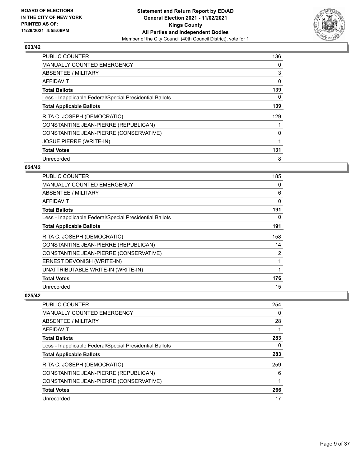

| <b>PUBLIC COUNTER</b>                                    | 136 |
|----------------------------------------------------------|-----|
| <b>MANUALLY COUNTED EMERGENCY</b>                        | 0   |
| ABSENTEE / MILITARY                                      | 3   |
| <b>AFFIDAVIT</b>                                         | 0   |
| <b>Total Ballots</b>                                     | 139 |
| Less - Inapplicable Federal/Special Presidential Ballots | 0   |
| <b>Total Applicable Ballots</b>                          | 139 |
| RITA C. JOSEPH (DEMOCRATIC)                              | 129 |
| CONSTANTINE JEAN-PIERRE (REPUBLICAN)                     |     |
| CONSTANTINE JEAN-PIERRE (CONSERVATIVE)                   | 0   |
| <b>JOSUE PIERRE (WRITE-IN)</b>                           |     |
| <b>Total Votes</b>                                       | 131 |
| Unrecorded                                               | 8   |

## **024/42**

| <b>PUBLIC COUNTER</b>                                    | 185          |
|----------------------------------------------------------|--------------|
| <b>MANUALLY COUNTED EMERGENCY</b>                        | 0            |
| ABSENTEE / MILITARY                                      | 6            |
| <b>AFFIDAVIT</b>                                         | $\mathbf{0}$ |
| <b>Total Ballots</b>                                     | 191          |
| Less - Inapplicable Federal/Special Presidential Ballots | 0            |
| <b>Total Applicable Ballots</b>                          | 191          |
| RITA C. JOSEPH (DEMOCRATIC)                              | 158          |
| CONSTANTINE JEAN-PIERRE (REPUBLICAN)                     | 14           |
| CONSTANTINE JEAN-PIERRE (CONSERVATIVE)                   | 2            |
| ERNEST DEVONISH (WRITE-IN)                               | 1            |
| UNATTRIBUTABLE WRITE-IN (WRITE-IN)                       | 1            |
| <b>Total Votes</b>                                       | 176          |
| Unrecorded                                               | 15           |

| PUBLIC COUNTER                                           | 254 |
|----------------------------------------------------------|-----|
| <b>MANUALLY COUNTED EMERGENCY</b>                        | 0   |
| ABSENTEE / MILITARY                                      | 28  |
| AFFIDAVIT                                                |     |
| <b>Total Ballots</b>                                     | 283 |
| Less - Inapplicable Federal/Special Presidential Ballots | 0   |
| <b>Total Applicable Ballots</b>                          | 283 |
| RITA C. JOSEPH (DEMOCRATIC)                              | 259 |
| CONSTANTINE JEAN-PIERRE (REPUBLICAN)                     | 6   |
| CONSTANTINE JEAN-PIERRE (CONSERVATIVE)                   |     |
| <b>Total Votes</b>                                       | 266 |
| Unrecorded                                               | 17  |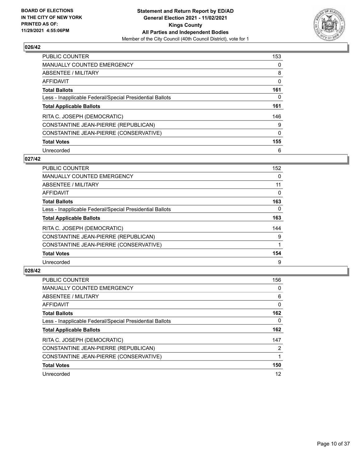

| <b>PUBLIC COUNTER</b>                                    | 153 |
|----------------------------------------------------------|-----|
| MANUALLY COUNTED EMERGENCY                               | 0   |
| ABSENTEE / MILITARY                                      | 8   |
| AFFIDAVIT                                                | 0   |
| <b>Total Ballots</b>                                     | 161 |
| Less - Inapplicable Federal/Special Presidential Ballots | 0   |
| <b>Total Applicable Ballots</b>                          | 161 |
| RITA C. JOSEPH (DEMOCRATIC)                              | 146 |
| CONSTANTINE JEAN-PIERRE (REPUBLICAN)                     | 9   |
| CONSTANTINE JEAN-PIERRE (CONSERVATIVE)                   | 0   |
|                                                          |     |
| <b>Total Votes</b>                                       | 155 |

#### **027/42**

| <b>PUBLIC COUNTER</b>                                    | 152      |
|----------------------------------------------------------|----------|
| <b>MANUALLY COUNTED EMERGENCY</b>                        | $\Omega$ |
| ABSENTEE / MILITARY                                      | 11       |
| <b>AFFIDAVIT</b>                                         | 0        |
| <b>Total Ballots</b>                                     | 163      |
| Less - Inapplicable Federal/Special Presidential Ballots | $\Omega$ |
| <b>Total Applicable Ballots</b>                          | 163      |
| RITA C. JOSEPH (DEMOCRATIC)                              | 144      |
| CONSTANTINE JEAN-PIERRE (REPUBLICAN)                     | 9        |
| CONSTANTINE JEAN-PIERRE (CONSERVATIVE)                   |          |
| <b>Total Votes</b>                                       | 154      |
| Unrecorded                                               | 9        |

| <b>PUBLIC COUNTER</b>                                    | 156      |
|----------------------------------------------------------|----------|
| <b>MANUALLY COUNTED EMERGENCY</b>                        | 0        |
| ABSENTEE / MILITARY                                      | 6        |
| <b>AFFIDAVIT</b>                                         | $\Omega$ |
| <b>Total Ballots</b>                                     | 162      |
| Less - Inapplicable Federal/Special Presidential Ballots | 0        |
| <b>Total Applicable Ballots</b>                          | 162      |
| RITA C. JOSEPH (DEMOCRATIC)                              | 147      |
| CONSTANTINE JEAN-PIERRE (REPUBLICAN)                     | 2        |
| CONSTANTINE JEAN-PIERRE (CONSERVATIVE)                   |          |
| <b>Total Votes</b>                                       | 150      |
| Unrecorded                                               | 12       |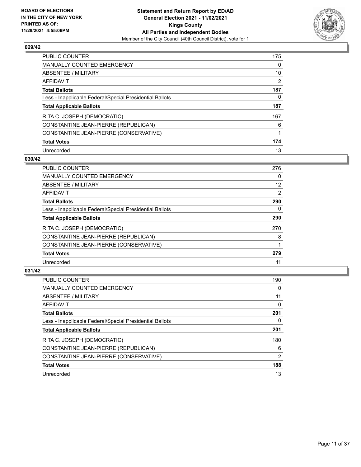

| <b>PUBLIC COUNTER</b>                                    | 175      |
|----------------------------------------------------------|----------|
| MANUALLY COUNTED EMERGENCY                               | $\Omega$ |
| ABSENTEE / MILITARY                                      | 10       |
| AFFIDAVIT                                                | 2        |
| <b>Total Ballots</b>                                     | 187      |
| Less - Inapplicable Federal/Special Presidential Ballots | 0        |
| <b>Total Applicable Ballots</b>                          | 187      |
| RITA C. JOSEPH (DEMOCRATIC)                              | 167      |
| CONSTANTINE JEAN-PIERRE (REPUBLICAN)                     | 6        |
| CONSTANTINE JEAN-PIERRE (CONSERVATIVE)                   |          |
| <b>Total Votes</b>                                       | 174      |
| Unrecorded                                               | 13       |

#### **030/42**

| <b>PUBLIC COUNTER</b>                                    | 276      |
|----------------------------------------------------------|----------|
| <b>MANUALLY COUNTED EMERGENCY</b>                        | 0        |
| ABSENTEE / MILITARY                                      | 12       |
| <b>AFFIDAVIT</b>                                         | 2        |
| <b>Total Ballots</b>                                     | 290      |
| Less - Inapplicable Federal/Special Presidential Ballots | $\Omega$ |
| <b>Total Applicable Ballots</b>                          | 290      |
| RITA C. JOSEPH (DEMOCRATIC)                              | 270      |
| CONSTANTINE JEAN-PIERRE (REPUBLICAN)                     | 8        |
| CONSTANTINE JEAN-PIERRE (CONSERVATIVE)                   |          |
| <b>Total Votes</b>                                       | 279      |
| Unrecorded                                               | 11       |

| <b>PUBLIC COUNTER</b>                                    | 190      |
|----------------------------------------------------------|----------|
| <b>MANUALLY COUNTED EMERGENCY</b>                        | 0        |
| <b>ABSENTEE / MILITARY</b>                               | 11       |
| <b>AFFIDAVIT</b>                                         | $\Omega$ |
| <b>Total Ballots</b>                                     | 201      |
| Less - Inapplicable Federal/Special Presidential Ballots | 0        |
| <b>Total Applicable Ballots</b>                          | 201      |
| RITA C. JOSEPH (DEMOCRATIC)                              | 180      |
| CONSTANTINE JEAN-PIERRE (REPUBLICAN)                     | 6        |
| CONSTANTINE JEAN-PIERRE (CONSERVATIVE)                   | 2        |
| <b>Total Votes</b>                                       | 188      |
| Unrecorded                                               | 13       |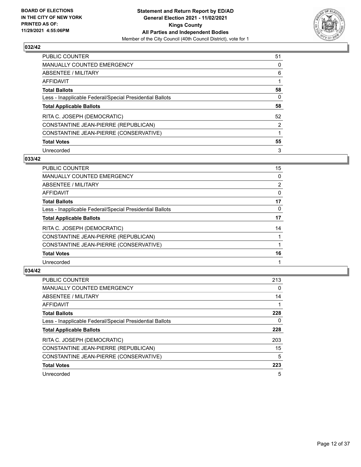

| PUBLIC COUNTER                                           | 51 |
|----------------------------------------------------------|----|
| <b>MANUALLY COUNTED EMERGENCY</b>                        | 0  |
| ABSENTEE / MILITARY                                      | 6  |
| AFFIDAVIT                                                |    |
| <b>Total Ballots</b>                                     | 58 |
| Less - Inapplicable Federal/Special Presidential Ballots | 0  |
| <b>Total Applicable Ballots</b>                          | 58 |
| RITA C. JOSEPH (DEMOCRATIC)                              | 52 |
| CONSTANTINE JEAN-PIERRE (REPUBLICAN)                     | 2  |
| CONSTANTINE JEAN-PIERRE (CONSERVATIVE)                   |    |
| <b>Total Votes</b>                                       | 55 |
| Unrecorded                                               | 3  |

#### **033/42**

| <b>PUBLIC COUNTER</b>                                    | 15 |
|----------------------------------------------------------|----|
| <b>MANUALLY COUNTED EMERGENCY</b>                        | 0  |
| ABSENTEE / MILITARY                                      | 2  |
| AFFIDAVIT                                                | 0  |
| <b>Total Ballots</b>                                     | 17 |
| Less - Inapplicable Federal/Special Presidential Ballots | 0  |
| <b>Total Applicable Ballots</b>                          | 17 |
| RITA C. JOSEPH (DEMOCRATIC)                              | 14 |
| CONSTANTINE JEAN-PIERRE (REPUBLICAN)                     |    |
| CONSTANTINE JEAN-PIERRE (CONSERVATIVE)                   |    |
| <b>Total Votes</b>                                       | 16 |
| Unrecorded                                               |    |

| <b>PUBLIC COUNTER</b>                                    | 213 |
|----------------------------------------------------------|-----|
| MANUALLY COUNTED EMERGENCY                               | 0   |
| <b>ABSENTEE / MILITARY</b>                               | 14  |
| <b>AFFIDAVIT</b>                                         |     |
| <b>Total Ballots</b>                                     | 228 |
| Less - Inapplicable Federal/Special Presidential Ballots | 0   |
| <b>Total Applicable Ballots</b>                          | 228 |
| RITA C. JOSEPH (DEMOCRATIC)                              | 203 |
| CONSTANTINE JEAN-PIERRE (REPUBLICAN)                     | 15  |
| CONSTANTINE JEAN-PIERRE (CONSERVATIVE)                   | 5   |
| <b>Total Votes</b>                                       | 223 |
| Unrecorded                                               | 5   |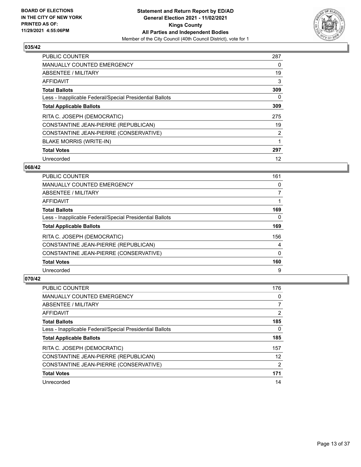

| <b>PUBLIC COUNTER</b>                                    | 287 |
|----------------------------------------------------------|-----|
| <b>MANUALLY COUNTED EMERGENCY</b>                        | 0   |
| ABSENTEE / MILITARY                                      | 19  |
| <b>AFFIDAVIT</b>                                         | 3   |
| <b>Total Ballots</b>                                     | 309 |
| Less - Inapplicable Federal/Special Presidential Ballots | 0   |
| <b>Total Applicable Ballots</b>                          | 309 |
| RITA C. JOSEPH (DEMOCRATIC)                              | 275 |
| CONSTANTINE JEAN-PIERRE (REPUBLICAN)                     | 19  |
| CONSTANTINE JEAN-PIERRE (CONSERVATIVE)                   | 2   |
| <b>BLAKE MORRIS (WRITE-IN)</b>                           |     |
| <b>Total Votes</b>                                       | 297 |
| Unrecorded                                               | 12  |

#### **068/42**

| <b>PUBLIC COUNTER</b>                                    | 161      |
|----------------------------------------------------------|----------|
| <b>MANUALLY COUNTED EMERGENCY</b>                        | 0        |
| ABSENTEE / MILITARY                                      | 7        |
| AFFIDAVIT                                                |          |
| <b>Total Ballots</b>                                     | 169      |
| Less - Inapplicable Federal/Special Presidential Ballots | 0        |
| <b>Total Applicable Ballots</b>                          | 169      |
| RITA C. JOSEPH (DEMOCRATIC)                              | 156      |
| CONSTANTINE JEAN-PIERRE (REPUBLICAN)                     | 4        |
| CONSTANTINE JEAN-PIERRE (CONSERVATIVE)                   | $\Omega$ |
| <b>Total Votes</b>                                       | 160      |
| Unrecorded                                               | 9        |

| PUBLIC COUNTER                                           | 176            |
|----------------------------------------------------------|----------------|
| <b>MANUALLY COUNTED EMERGENCY</b>                        | 0              |
| ABSENTEE / MILITARY                                      |                |
| AFFIDAVIT                                                | $\overline{2}$ |
| <b>Total Ballots</b>                                     | 185            |
| Less - Inapplicable Federal/Special Presidential Ballots | 0              |
| <b>Total Applicable Ballots</b>                          | 185            |
| RITA C. JOSEPH (DEMOCRATIC)                              | 157            |
| CONSTANTINE JEAN-PIERRE (REPUBLICAN)                     | 12             |
| CONSTANTINE JEAN-PIERRE (CONSERVATIVE)                   | $\overline{2}$ |
|                                                          |                |
| <b>Total Votes</b>                                       | 171            |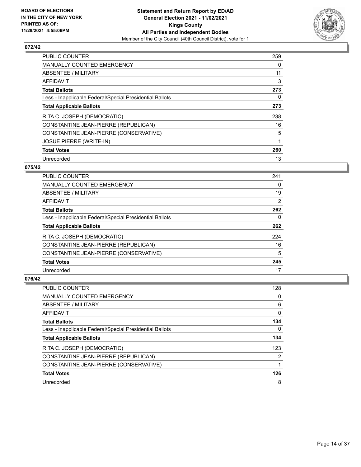

| <b>PUBLIC COUNTER</b>                                    | 259 |
|----------------------------------------------------------|-----|
| <b>MANUALLY COUNTED EMERGENCY</b>                        | 0   |
| ABSENTEE / MILITARY                                      | 11  |
| <b>AFFIDAVIT</b>                                         | 3   |
| <b>Total Ballots</b>                                     | 273 |
| Less - Inapplicable Federal/Special Presidential Ballots | 0   |
| <b>Total Applicable Ballots</b>                          | 273 |
| RITA C. JOSEPH (DEMOCRATIC)                              | 238 |
| CONSTANTINE JEAN-PIERRE (REPUBLICAN)                     | 16  |
| CONSTANTINE JEAN-PIERRE (CONSERVATIVE)                   | 5   |
| <b>JOSUE PIERRE (WRITE-IN)</b>                           | 1   |
| <b>Total Votes</b>                                       | 260 |
| Unrecorded                                               | 13  |

#### **075/42**

| <b>PUBLIC COUNTER</b>                                    | 241 |
|----------------------------------------------------------|-----|
| <b>MANUALLY COUNTED EMERGENCY</b>                        | 0   |
| ABSENTEE / MILITARY                                      | 19  |
| AFFIDAVIT                                                | 2   |
| <b>Total Ballots</b>                                     | 262 |
| Less - Inapplicable Federal/Special Presidential Ballots | 0   |
| <b>Total Applicable Ballots</b>                          | 262 |
| RITA C. JOSEPH (DEMOCRATIC)                              | 224 |
| CONSTANTINE JEAN-PIERRE (REPUBLICAN)                     | 16  |
| CONSTANTINE JEAN-PIERRE (CONSERVATIVE)                   | 5   |
| <b>Total Votes</b>                                       | 245 |
| Unrecorded                                               | 17  |

| <b>PUBLIC COUNTER</b>                                    | 128 |
|----------------------------------------------------------|-----|
| <b>MANUALLY COUNTED EMERGENCY</b>                        | 0   |
| ABSENTEE / MILITARY                                      | 6   |
| AFFIDAVIT                                                | 0   |
| <b>Total Ballots</b>                                     | 134 |
| Less - Inapplicable Federal/Special Presidential Ballots | 0   |
| <b>Total Applicable Ballots</b>                          | 134 |
| RITA C. JOSEPH (DEMOCRATIC)                              | 123 |
| CONSTANTINE JEAN-PIERRE (REPUBLICAN)                     | 2   |
| CONSTANTINE JEAN-PIERRE (CONSERVATIVE)                   |     |
| <b>Total Votes</b>                                       | 126 |
| Unrecorded                                               | 8   |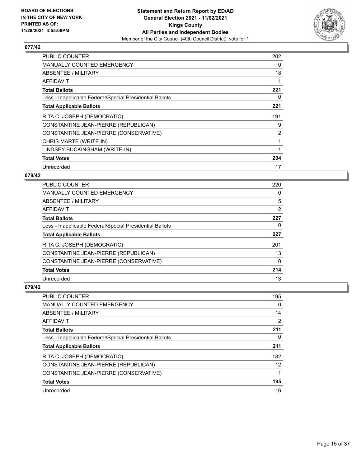

| <b>PUBLIC COUNTER</b>                                    | 202 |
|----------------------------------------------------------|-----|
| <b>MANUALLY COUNTED EMERGENCY</b>                        | 0   |
| ABSENTEE / MILITARY                                      | 18  |
| AFFIDAVIT                                                | 1   |
| <b>Total Ballots</b>                                     | 221 |
| Less - Inapplicable Federal/Special Presidential Ballots | 0   |
| <b>Total Applicable Ballots</b>                          | 221 |
| RITA C. JOSEPH (DEMOCRATIC)                              | 191 |
| CONSTANTINE JEAN-PIERRE (REPUBLICAN)                     | 9   |
|                                                          |     |
| CONSTANTINE JEAN-PIERRE (CONSERVATIVE)                   | 2   |
| CHRIS MARTE (WRITE-IN)                                   | 1   |
| LINDSEY BUCKINGHAM (WRITE-IN)                            | 1   |
| <b>Total Votes</b>                                       | 204 |

## **078/42**

| <b>PUBLIC COUNTER</b>                                    | 220 |
|----------------------------------------------------------|-----|
| <b>MANUALLY COUNTED EMERGENCY</b>                        | 0   |
| ABSENTEE / MILITARY                                      | 5   |
| <b>AFFIDAVIT</b>                                         | 2   |
| <b>Total Ballots</b>                                     | 227 |
| Less - Inapplicable Federal/Special Presidential Ballots | 0   |
| <b>Total Applicable Ballots</b>                          | 227 |
| RITA C. JOSEPH (DEMOCRATIC)                              | 201 |
| CONSTANTINE JEAN-PIERRE (REPUBLICAN)                     | 13  |
| CONSTANTINE JEAN-PIERRE (CONSERVATIVE)                   | 0   |
| <b>Total Votes</b>                                       | 214 |
| Unrecorded                                               | 13  |

| PUBLIC COUNTER                                           | 195 |
|----------------------------------------------------------|-----|
| <b>MANUALLY COUNTED EMERGENCY</b>                        | 0   |
| ABSENTEE / MILITARY                                      | 14  |
| AFFIDAVIT                                                | 2   |
| <b>Total Ballots</b>                                     | 211 |
| Less - Inapplicable Federal/Special Presidential Ballots | 0   |
| <b>Total Applicable Ballots</b>                          | 211 |
| RITA C. JOSEPH (DEMOCRATIC)                              | 182 |
| CONSTANTINE JEAN-PIERRE (REPUBLICAN)                     | 12  |
| CONSTANTINE JEAN-PIERRE (CONSERVATIVE)                   |     |
| <b>Total Votes</b>                                       | 195 |
| Unrecorded                                               | 16  |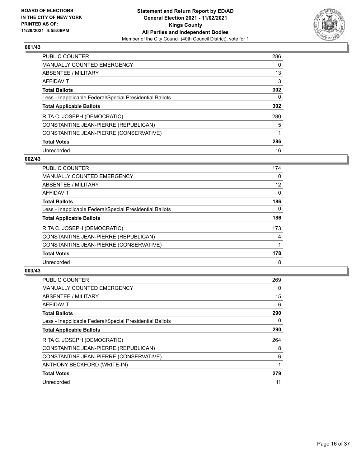

| <b>PUBLIC COUNTER</b>                                    | 286 |
|----------------------------------------------------------|-----|
| MANUALLY COUNTED EMERGENCY                               | 0   |
| ABSENTEE / MILITARY                                      | 13  |
| AFFIDAVIT                                                | 3   |
| <b>Total Ballots</b>                                     | 302 |
| Less - Inapplicable Federal/Special Presidential Ballots | 0   |
| <b>Total Applicable Ballots</b>                          | 302 |
| RITA C. JOSEPH (DEMOCRATIC)                              | 280 |
| CONSTANTINE JEAN-PIERRE (REPUBLICAN)                     | 5   |
| CONSTANTINE JEAN-PIERRE (CONSERVATIVE)                   | 1   |
| <b>Total Votes</b>                                       | 286 |
| Unrecorded                                               | 16  |

#### **002/43**

| <b>PUBLIC COUNTER</b>                                    | 174      |
|----------------------------------------------------------|----------|
| MANUALLY COUNTED EMERGENCY                               | $\Omega$ |
| ABSENTEE / MILITARY                                      | 12       |
| <b>AFFIDAVIT</b>                                         | $\Omega$ |
| <b>Total Ballots</b>                                     | 186      |
| Less - Inapplicable Federal/Special Presidential Ballots | $\Omega$ |
| <b>Total Applicable Ballots</b>                          | 186      |
| RITA C. JOSEPH (DEMOCRATIC)                              | 173      |
| CONSTANTINE JEAN-PIERRE (REPUBLICAN)                     | 4        |
| CONSTANTINE JEAN-PIERRE (CONSERVATIVE)                   |          |
| <b>Total Votes</b>                                       | 178      |
| Unrecorded                                               | 8        |

| <b>PUBLIC COUNTER</b>                                    | 269 |
|----------------------------------------------------------|-----|
| MANUALLY COUNTED EMERGENCY                               | 0   |
| ABSENTEE / MILITARY                                      | 15  |
| AFFIDAVIT                                                | 6   |
| <b>Total Ballots</b>                                     | 290 |
| Less - Inapplicable Federal/Special Presidential Ballots | 0   |
| <b>Total Applicable Ballots</b>                          | 290 |
| RITA C. JOSEPH (DEMOCRATIC)                              | 264 |
| CONSTANTINE JEAN-PIERRE (REPUBLICAN)                     | 8   |
| CONSTANTINE JEAN-PIERRE (CONSERVATIVE)                   | 6   |
| ANTHONY BECKFORD (WRITE-IN)                              |     |
| <b>Total Votes</b>                                       | 279 |
| Unrecorded                                               | 11  |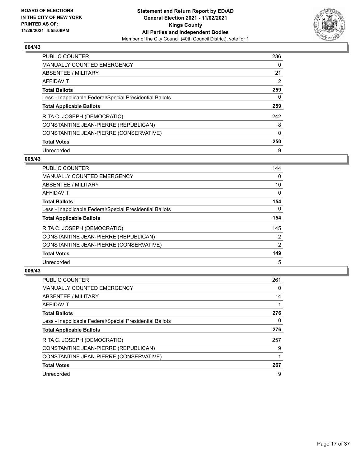

| <b>PUBLIC COUNTER</b>                                    | 236          |
|----------------------------------------------------------|--------------|
| <b>MANUALLY COUNTED EMERGENCY</b>                        | 0            |
| ABSENTEE / MILITARY                                      | 21           |
| AFFIDAVIT                                                | 2            |
| <b>Total Ballots</b>                                     | 259          |
| Less - Inapplicable Federal/Special Presidential Ballots | 0            |
| <b>Total Applicable Ballots</b>                          | 259          |
| RITA C. JOSEPH (DEMOCRATIC)                              | 242          |
| CONSTANTINE JEAN-PIERRE (REPUBLICAN)                     | 8            |
| CONSTANTINE JEAN-PIERRE (CONSERVATIVE)                   | $\mathbf{0}$ |
| <b>Total Votes</b>                                       | 250          |
|                                                          |              |

#### **005/43**

| <b>PUBLIC COUNTER</b>                                    | 144            |
|----------------------------------------------------------|----------------|
| MANUALLY COUNTED EMERGENCY                               | $\Omega$       |
| ABSENTEE / MILITARY                                      | 10             |
| <b>AFFIDAVIT</b>                                         | 0              |
| <b>Total Ballots</b>                                     | 154            |
| Less - Inapplicable Federal/Special Presidential Ballots | $\Omega$       |
| <b>Total Applicable Ballots</b>                          | 154            |
| RITA C. JOSEPH (DEMOCRATIC)                              | 145            |
| CONSTANTINE JEAN-PIERRE (REPUBLICAN)                     | 2              |
| CONSTANTINE JEAN-PIERRE (CONSERVATIVE)                   | $\overline{2}$ |
| <b>Total Votes</b>                                       | 149            |
| Unrecorded                                               | 5              |

| <b>PUBLIC COUNTER</b>                                    | 261 |
|----------------------------------------------------------|-----|
| <b>MANUALLY COUNTED EMERGENCY</b>                        | 0   |
| ABSENTEE / MILITARY                                      | 14  |
| <b>AFFIDAVIT</b>                                         |     |
| <b>Total Ballots</b>                                     | 276 |
| Less - Inapplicable Federal/Special Presidential Ballots | 0   |
| <b>Total Applicable Ballots</b>                          | 276 |
| RITA C. JOSEPH (DEMOCRATIC)                              | 257 |
| CONSTANTINE JEAN-PIERRE (REPUBLICAN)                     | 9   |
| CONSTANTINE JEAN-PIERRE (CONSERVATIVE)                   |     |
| <b>Total Votes</b>                                       | 267 |
| Unrecorded                                               | 9   |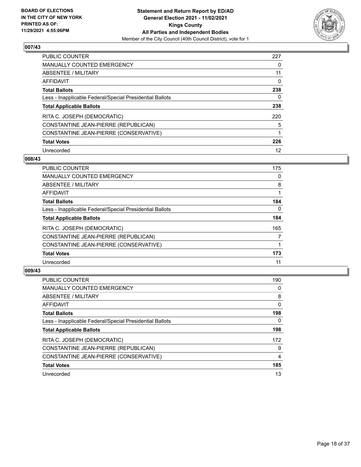

| <b>PUBLIC COUNTER</b>                                    | 227 |
|----------------------------------------------------------|-----|
| MANUALLY COUNTED EMERGENCY                               | 0   |
| ABSENTEE / MILITARY                                      | 11  |
| AFFIDAVIT                                                | 0   |
| <b>Total Ballots</b>                                     | 238 |
| Less - Inapplicable Federal/Special Presidential Ballots | 0   |
| <b>Total Applicable Ballots</b>                          | 238 |
| RITA C. JOSEPH (DEMOCRATIC)                              | 220 |
| CONSTANTINE JEAN-PIERRE (REPUBLICAN)                     | 5   |
| CONSTANTINE JEAN-PIERRE (CONSERVATIVE)                   |     |
| <b>Total Votes</b>                                       | 226 |
|                                                          |     |

#### **008/43**

| PUBLIC COUNTER                                           | 175      |
|----------------------------------------------------------|----------|
| <b>MANUALLY COUNTED EMERGENCY</b>                        | 0        |
| ABSENTEE / MILITARY                                      | 8        |
| <b>AFFIDAVIT</b>                                         |          |
| <b>Total Ballots</b>                                     | 184      |
| Less - Inapplicable Federal/Special Presidential Ballots | $\Omega$ |
| <b>Total Applicable Ballots</b>                          | 184      |
| RITA C. JOSEPH (DEMOCRATIC)                              | 165      |
| CONSTANTINE JEAN-PIERRE (REPUBLICAN)                     |          |
| CONSTANTINE JEAN-PIERRE (CONSERVATIVE)                   |          |
| <b>Total Votes</b>                                       | 173      |
| Unrecorded                                               | 11       |

| <b>PUBLIC COUNTER</b>                                    | 190      |
|----------------------------------------------------------|----------|
| <b>MANUALLY COUNTED EMERGENCY</b>                        | $\Omega$ |
| ABSENTEE / MILITARY                                      | 8        |
| AFFIDAVIT                                                | $\Omega$ |
| <b>Total Ballots</b>                                     | 198      |
| Less - Inapplicable Federal/Special Presidential Ballots | 0        |
| <b>Total Applicable Ballots</b>                          | 198      |
| RITA C. JOSEPH (DEMOCRATIC)                              | 172      |
| CONSTANTINE JEAN-PIERRE (REPUBLICAN)                     | 9        |
| CONSTANTINE JEAN-PIERRE (CONSERVATIVE)                   | 4        |
| <b>Total Votes</b>                                       | 185      |
| Unrecorded                                               | 13       |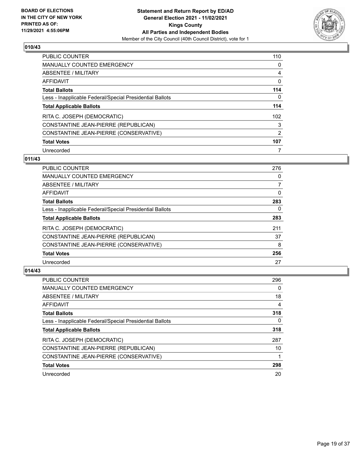

| <b>PUBLIC COUNTER</b>                                    | 110           |
|----------------------------------------------------------|---------------|
| <b>MANUALLY COUNTED EMERGENCY</b>                        | 0             |
| ABSENTEE / MILITARY                                      | 4             |
| AFFIDAVIT                                                | 0             |
| <b>Total Ballots</b>                                     | 114           |
| Less - Inapplicable Federal/Special Presidential Ballots | 0             |
| <b>Total Applicable Ballots</b>                          | 114           |
| RITA C. JOSEPH (DEMOCRATIC)                              | 102           |
| CONSTANTINE JEAN-PIERRE (REPUBLICAN)                     | 3             |
| CONSTANTINE JEAN-PIERRE (CONSERVATIVE)                   | $\mathcal{P}$ |
| <b>Total Votes</b>                                       | 107           |
| Unrecorded                                               |               |

# **011/43**

| <b>PUBLIC COUNTER</b>                                    | 276      |
|----------------------------------------------------------|----------|
| MANUALLY COUNTED EMERGENCY                               | $\Omega$ |
| ABSENTEE / MILITARY                                      | 7        |
| <b>AFFIDAVIT</b>                                         | $\Omega$ |
| <b>Total Ballots</b>                                     | 283      |
| Less - Inapplicable Federal/Special Presidential Ballots | 0        |
| <b>Total Applicable Ballots</b>                          | 283      |
| RITA C. JOSEPH (DEMOCRATIC)                              | 211      |
| CONSTANTINE JEAN-PIERRE (REPUBLICAN)                     | 37       |
| CONSTANTINE JEAN-PIERRE (CONSERVATIVE)                   | 8        |
| <b>Total Votes</b>                                       | 256      |
| Unrecorded                                               | 27       |

| <b>PUBLIC COUNTER</b>                                    | 296      |
|----------------------------------------------------------|----------|
| <b>MANUALLY COUNTED EMERGENCY</b>                        | $\Omega$ |
| ABSENTEE / MILITARY                                      | 18       |
| AFFIDAVIT                                                | 4        |
| <b>Total Ballots</b>                                     | 318      |
| Less - Inapplicable Federal/Special Presidential Ballots | 0        |
| <b>Total Applicable Ballots</b>                          | 318      |
| RITA C. JOSEPH (DEMOCRATIC)                              | 287      |
| CONSTANTINE JEAN-PIERRE (REPUBLICAN)                     | 10       |
| CONSTANTINE JEAN-PIERRE (CONSERVATIVE)                   |          |
| <b>Total Votes</b>                                       | 298      |
| Unrecorded                                               | 20       |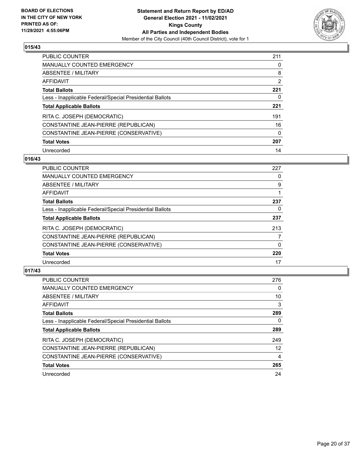

| <b>PUBLIC COUNTER</b>                                    | 211      |
|----------------------------------------------------------|----------|
| <b>MANUALLY COUNTED EMERGENCY</b>                        | 0        |
| ABSENTEE / MILITARY                                      | 8        |
| AFFIDAVIT                                                | 2        |
| <b>Total Ballots</b>                                     | 221      |
| Less - Inapplicable Federal/Special Presidential Ballots | 0        |
| <b>Total Applicable Ballots</b>                          | 221      |
| RITA C. JOSEPH (DEMOCRATIC)                              | 191      |
| CONSTANTINE JEAN-PIERRE (REPUBLICAN)                     | 16       |
| CONSTANTINE JEAN-PIERRE (CONSERVATIVE)                   | $\Omega$ |
| <b>Total Votes</b>                                       | 207      |
| Unrecorded                                               | 14       |

#### **016/43**

| <b>PUBLIC COUNTER</b>                                    | 227 |
|----------------------------------------------------------|-----|
| <b>MANUALLY COUNTED EMERGENCY</b>                        | 0   |
| ABSENTEE / MILITARY                                      | 9   |
| <b>AFFIDAVIT</b>                                         |     |
| <b>Total Ballots</b>                                     | 237 |
| Less - Inapplicable Federal/Special Presidential Ballots | 0   |
| <b>Total Applicable Ballots</b>                          | 237 |
| RITA C. JOSEPH (DEMOCRATIC)                              | 213 |
| CONSTANTINE JEAN-PIERRE (REPUBLICAN)                     |     |
| CONSTANTINE JEAN-PIERRE (CONSERVATIVE)                   | 0   |
| <b>Total Votes</b>                                       | 220 |
| Unrecorded                                               | 17  |

| <b>PUBLIC COUNTER</b>                                    | 276      |
|----------------------------------------------------------|----------|
| <b>MANUALLY COUNTED EMERGENCY</b>                        | $\Omega$ |
| ABSENTEE / MILITARY                                      | 10       |
| <b>AFFIDAVIT</b>                                         | 3        |
| <b>Total Ballots</b>                                     | 289      |
| Less - Inapplicable Federal/Special Presidential Ballots | 0        |
| <b>Total Applicable Ballots</b>                          | 289      |
| RITA C. JOSEPH (DEMOCRATIC)                              | 249      |
| CONSTANTINE JEAN-PIERRE (REPUBLICAN)                     | 12       |
| CONSTANTINE JEAN-PIERRE (CONSERVATIVE)                   | 4        |
| <b>Total Votes</b>                                       | 265      |
| Unrecorded                                               | 24       |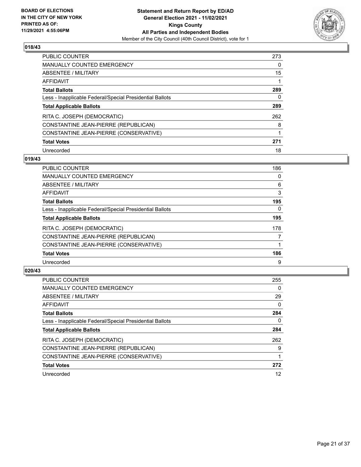

| <b>PUBLIC COUNTER</b>                                    | 273 |
|----------------------------------------------------------|-----|
| MANUALLY COUNTED EMERGENCY                               | 0   |
| ABSENTEE / MILITARY                                      | 15  |
| <b>AFFIDAVIT</b>                                         |     |
| <b>Total Ballots</b>                                     | 289 |
| Less - Inapplicable Federal/Special Presidential Ballots | 0   |
| <b>Total Applicable Ballots</b>                          | 289 |
| RITA C. JOSEPH (DEMOCRATIC)                              | 262 |
| CONSTANTINE JEAN-PIERRE (REPUBLICAN)                     | 8   |
| CONSTANTINE JEAN-PIERRE (CONSERVATIVE)                   |     |
| <b>Total Votes</b>                                       | 271 |
| Unrecorded                                               | 18  |

#### **019/43**

| PUBLIC COUNTER                                           | 186      |
|----------------------------------------------------------|----------|
| <b>MANUALLY COUNTED EMERGENCY</b>                        | 0        |
| ABSENTEE / MILITARY                                      | 6        |
| <b>AFFIDAVIT</b>                                         | 3        |
| <b>Total Ballots</b>                                     | 195      |
| Less - Inapplicable Federal/Special Presidential Ballots | $\Omega$ |
| <b>Total Applicable Ballots</b>                          | 195      |
| RITA C. JOSEPH (DEMOCRATIC)                              | 178      |
| CONSTANTINE JEAN-PIERRE (REPUBLICAN)                     |          |
| CONSTANTINE JEAN-PIERRE (CONSERVATIVE)                   |          |
| <b>Total Votes</b>                                       | 186      |
| Unrecorded                                               | 9        |

| <b>PUBLIC COUNTER</b>                                    | 255      |
|----------------------------------------------------------|----------|
| <b>MANUALLY COUNTED EMERGENCY</b>                        | 0        |
| ABSENTEE / MILITARY                                      | 29       |
| <b>AFFIDAVIT</b>                                         | $\Omega$ |
| <b>Total Ballots</b>                                     | 284      |
| Less - Inapplicable Federal/Special Presidential Ballots | 0        |
| <b>Total Applicable Ballots</b>                          | 284      |
| RITA C. JOSEPH (DEMOCRATIC)                              | 262      |
| CONSTANTINE JEAN-PIERRE (REPUBLICAN)                     | 9        |
| CONSTANTINE JEAN-PIERRE (CONSERVATIVE)                   |          |
| <b>Total Votes</b>                                       | 272      |
| Unrecorded                                               | 12       |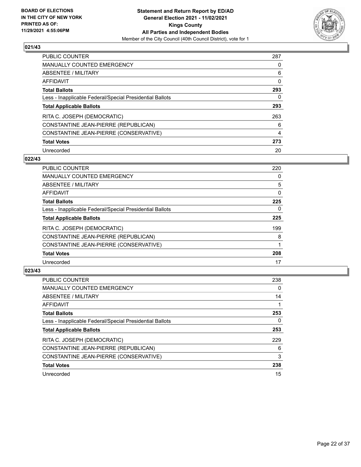

| <b>PUBLIC COUNTER</b>                                    | 287 |
|----------------------------------------------------------|-----|
| MANUALLY COUNTED EMERGENCY                               | 0   |
| ABSENTEE / MILITARY                                      | 6   |
| AFFIDAVIT                                                | 0   |
| <b>Total Ballots</b>                                     | 293 |
| Less - Inapplicable Federal/Special Presidential Ballots | 0   |
| <b>Total Applicable Ballots</b>                          | 293 |
| RITA C. JOSEPH (DEMOCRATIC)                              | 263 |
| CONSTANTINE JEAN-PIERRE (REPUBLICAN)                     | 6   |
| CONSTANTINE JEAN-PIERRE (CONSERVATIVE)                   | 4   |
| <b>Total Votes</b>                                       | 273 |
| Unrecorded                                               | 20  |

#### **022/43**

| PUBLIC COUNTER                                           | 220 |
|----------------------------------------------------------|-----|
| MANUALLY COUNTED EMERGENCY                               | 0   |
| ABSENTEE / MILITARY                                      | 5   |
| <b>AFFIDAVIT</b>                                         | 0   |
| <b>Total Ballots</b>                                     | 225 |
| Less - Inapplicable Federal/Special Presidential Ballots | 0   |
| <b>Total Applicable Ballots</b>                          | 225 |
| RITA C. JOSEPH (DEMOCRATIC)                              | 199 |
| CONSTANTINE JEAN-PIERRE (REPUBLICAN)                     | 8   |
| CONSTANTINE JEAN-PIERRE (CONSERVATIVE)                   |     |
| <b>Total Votes</b>                                       | 208 |
| Unrecorded                                               | 17  |

| <b>PUBLIC COUNTER</b>                                    | 238 |
|----------------------------------------------------------|-----|
| <b>MANUALLY COUNTED EMERGENCY</b>                        | 0   |
| ABSENTEE / MILITARY                                      | 14  |
| AFFIDAVIT                                                |     |
| <b>Total Ballots</b>                                     | 253 |
| Less - Inapplicable Federal/Special Presidential Ballots | 0   |
| <b>Total Applicable Ballots</b>                          | 253 |
| RITA C. JOSEPH (DEMOCRATIC)                              | 229 |
| CONSTANTINE JEAN-PIERRE (REPUBLICAN)                     | 6   |
| CONSTANTINE JEAN-PIERRE (CONSERVATIVE)                   | 3   |
| <b>Total Votes</b>                                       | 238 |
| Unrecorded                                               | 15  |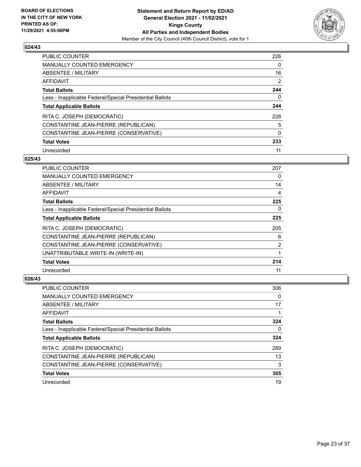

| <b>PUBLIC COUNTER</b>                                    | 226 |
|----------------------------------------------------------|-----|
| MANUALLY COUNTED EMERGENCY                               | 0   |
| ABSENTEE / MILITARY                                      | 16  |
| AFFIDAVIT                                                | 2   |
| <b>Total Ballots</b>                                     | 244 |
| Less - Inapplicable Federal/Special Presidential Ballots | 0   |
| <b>Total Applicable Ballots</b>                          | 244 |
| RITA C. JOSEPH (DEMOCRATIC)                              | 228 |
| CONSTANTINE JEAN-PIERRE (REPUBLICAN)                     | 5   |
| CONSTANTINE JEAN-PIERRE (CONSERVATIVE)                   | 0   |
| <b>Total Votes</b>                                       | 233 |
| Unrecorded                                               | 11  |

#### **025/43**

| PUBLIC COUNTER                                           | 207      |
|----------------------------------------------------------|----------|
| MANUALLY COUNTED EMERGENCY                               | $\Omega$ |
| ABSENTEE / MILITARY                                      | 14       |
| AFFIDAVIT                                                | 4        |
| <b>Total Ballots</b>                                     | 225      |
| Less - Inapplicable Federal/Special Presidential Ballots | $\Omega$ |
| <b>Total Applicable Ballots</b>                          | 225      |
| RITA C. JOSEPH (DEMOCRATIC)                              | 205      |
| CONSTANTINE JEAN-PIERRE (REPUBLICAN)                     | 6        |
| CONSTANTINE JEAN-PIERRE (CONSERVATIVE)                   | 2        |
| UNATTRIBUTABLE WRITE-IN (WRITE-IN)                       |          |
| <b>Total Votes</b>                                       | 214      |
| Unrecorded                                               | 11       |

| <b>PUBLIC COUNTER</b>                                    | 306 |
|----------------------------------------------------------|-----|
| <b>MANUALLY COUNTED EMERGENCY</b>                        | 0   |
| ABSENTEE / MILITARY                                      | 17  |
| AFFIDAVIT                                                |     |
| <b>Total Ballots</b>                                     | 324 |
| Less - Inapplicable Federal/Special Presidential Ballots | 0   |
| <b>Total Applicable Ballots</b>                          | 324 |
| RITA C. JOSEPH (DEMOCRATIC)                              | 289 |
| CONSTANTINE JEAN-PIERRE (REPUBLICAN)                     | 13  |
| CONSTANTINE JEAN-PIERRE (CONSERVATIVE)                   | 3   |
| <b>Total Votes</b>                                       | 305 |
| Unrecorded                                               | 19  |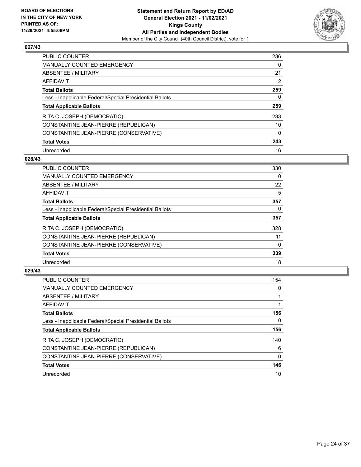

| PUBLIC COUNTER                                           | 236      |
|----------------------------------------------------------|----------|
| <b>MANUALLY COUNTED EMERGENCY</b>                        | $\Omega$ |
| ABSENTEE / MILITARY                                      | 21       |
| AFFIDAVIT                                                | 2        |
| <b>Total Ballots</b>                                     | 259      |
| Less - Inapplicable Federal/Special Presidential Ballots | 0        |
| <b>Total Applicable Ballots</b>                          | 259      |
| RITA C. JOSEPH (DEMOCRATIC)                              | 233      |
| CONSTANTINE JEAN-PIERRE (REPUBLICAN)                     | 10       |
| CONSTANTINE JEAN-PIERRE (CONSERVATIVE)                   | $\Omega$ |
| <b>Total Votes</b>                                       | 243      |
| Unrecorded                                               | 16       |

#### **028/43**

| <b>PUBLIC COUNTER</b>                                    | 330      |
|----------------------------------------------------------|----------|
| <b>MANUALLY COUNTED EMERGENCY</b>                        | 0        |
| ABSENTEE / MILITARY                                      | 22       |
| <b>AFFIDAVIT</b>                                         | 5        |
| <b>Total Ballots</b>                                     | 357      |
| Less - Inapplicable Federal/Special Presidential Ballots | 0        |
| <b>Total Applicable Ballots</b>                          | 357      |
| RITA C. JOSEPH (DEMOCRATIC)                              | 328      |
| CONSTANTINE JEAN-PIERRE (REPUBLICAN)                     | 11       |
| CONSTANTINE JEAN-PIERRE (CONSERVATIVE)                   | $\Omega$ |
| <b>Total Votes</b>                                       | 339      |
| Unrecorded                                               | 18       |

| <b>PUBLIC COUNTER</b>                                    | 154      |
|----------------------------------------------------------|----------|
| MANUALLY COUNTED EMERGENCY                               | 0        |
| ABSENTEE / MILITARY                                      |          |
| <b>AFFIDAVIT</b>                                         |          |
| <b>Total Ballots</b>                                     | 156      |
| Less - Inapplicable Federal/Special Presidential Ballots | 0        |
| <b>Total Applicable Ballots</b>                          | 156      |
| RITA C. JOSEPH (DEMOCRATIC)                              | 140      |
| CONSTANTINE JEAN-PIERRE (REPUBLICAN)                     | 6        |
| CONSTANTINE JEAN-PIERRE (CONSERVATIVE)                   | $\Omega$ |
| <b>Total Votes</b>                                       | 146      |
| Unrecorded                                               | 10       |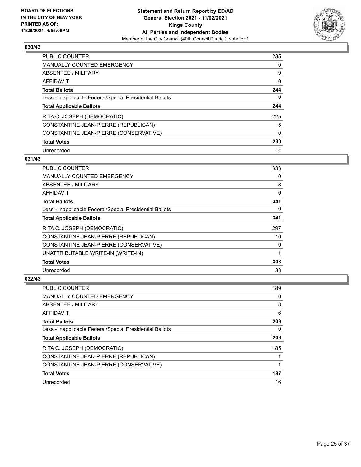

| <b>PUBLIC COUNTER</b>                                    | 235      |
|----------------------------------------------------------|----------|
| <b>MANUALLY COUNTED EMERGENCY</b>                        | $\Omega$ |
| ABSENTEE / MILITARY                                      | 9        |
| AFFIDAVIT                                                | 0        |
| <b>Total Ballots</b>                                     | 244      |
| Less - Inapplicable Federal/Special Presidential Ballots | 0        |
| <b>Total Applicable Ballots</b>                          | 244      |
| RITA C. JOSEPH (DEMOCRATIC)                              | 225      |
| CONSTANTINE JEAN-PIERRE (REPUBLICAN)                     | 5        |
| CONSTANTINE JEAN-PIERRE (CONSERVATIVE)                   | $\Omega$ |
| <b>Total Votes</b>                                       | 230      |
| Unrecorded                                               | 14       |

#### **031/43**

| PUBLIC COUNTER                                           | 333      |
|----------------------------------------------------------|----------|
| MANUALLY COUNTED EMERGENCY                               | $\Omega$ |
| ABSENTEE / MILITARY                                      | 8        |
| AFFIDAVIT                                                | 0        |
| <b>Total Ballots</b>                                     | 341      |
| Less - Inapplicable Federal/Special Presidential Ballots | 0        |
| <b>Total Applicable Ballots</b>                          | 341      |
| RITA C. JOSEPH (DEMOCRATIC)                              | 297      |
| CONSTANTINE JEAN-PIERRE (REPUBLICAN)                     | 10       |
| CONSTANTINE JEAN-PIERRE (CONSERVATIVE)                   | $\Omega$ |
| UNATTRIBUTABLE WRITE-IN (WRITE-IN)                       |          |
| <b>Total Votes</b>                                       | 308      |
| Unrecorded                                               | 33       |

| <b>PUBLIC COUNTER</b>                                    | 189 |
|----------------------------------------------------------|-----|
| <b>MANUALLY COUNTED EMERGENCY</b>                        | 0   |
| ABSENTEE / MILITARY                                      | 8   |
| AFFIDAVIT                                                | 6   |
| <b>Total Ballots</b>                                     | 203 |
| Less - Inapplicable Federal/Special Presidential Ballots | 0   |
| <b>Total Applicable Ballots</b>                          | 203 |
|                                                          |     |
| RITA C. JOSEPH (DEMOCRATIC)                              | 185 |
| CONSTANTINE JEAN-PIERRE (REPUBLICAN)                     |     |
| CONSTANTINE JEAN-PIERRE (CONSERVATIVE)                   |     |
| <b>Total Votes</b>                                       | 187 |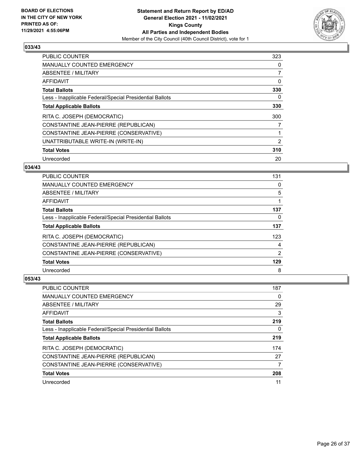

| <b>PUBLIC COUNTER</b>                                    | 323            |
|----------------------------------------------------------|----------------|
| <b>MANUALLY COUNTED EMERGENCY</b>                        | 0              |
| ABSENTEE / MILITARY                                      | 7              |
| <b>AFFIDAVIT</b>                                         | 0              |
| <b>Total Ballots</b>                                     | 330            |
| Less - Inapplicable Federal/Special Presidential Ballots | 0              |
| <b>Total Applicable Ballots</b>                          | 330            |
| RITA C. JOSEPH (DEMOCRATIC)                              | 300            |
| CONSTANTINE JEAN-PIERRE (REPUBLICAN)                     | 7              |
| CONSTANTINE JEAN-PIERRE (CONSERVATIVE)                   |                |
| UNATTRIBUTABLE WRITE-IN (WRITE-IN)                       | $\overline{2}$ |
| <b>Total Votes</b>                                       | 310            |
| Unrecorded                                               | 20             |

#### **034/43**

| <b>PUBLIC COUNTER</b>                                    | 131 |
|----------------------------------------------------------|-----|
| <b>MANUALLY COUNTED EMERGENCY</b>                        | 0   |
| ABSENTEE / MILITARY                                      | 5   |
| AFFIDAVIT                                                |     |
| <b>Total Ballots</b>                                     | 137 |
| Less - Inapplicable Federal/Special Presidential Ballots | 0   |
| <b>Total Applicable Ballots</b>                          | 137 |
| RITA C. JOSEPH (DEMOCRATIC)                              | 123 |
| CONSTANTINE JEAN-PIERRE (REPUBLICAN)                     | 4   |
| CONSTANTINE JEAN-PIERRE (CONSERVATIVE)                   | 2   |
| <b>Total Votes</b>                                       | 129 |
| Unrecorded                                               | 8   |

| <b>PUBLIC COUNTER</b>                                    | 187 |
|----------------------------------------------------------|-----|
| <b>MANUALLY COUNTED EMERGENCY</b>                        | 0   |
| ABSENTEE / MILITARY                                      | 29  |
| AFFIDAVIT                                                | 3   |
| <b>Total Ballots</b>                                     | 219 |
| Less - Inapplicable Federal/Special Presidential Ballots | 0   |
| <b>Total Applicable Ballots</b>                          | 219 |
| RITA C. JOSEPH (DEMOCRATIC)                              | 174 |
| CONSTANTINE JEAN-PIERRE (REPUBLICAN)                     | 27  |
| CONSTANTINE JEAN-PIERRE (CONSERVATIVE)                   | 7   |
| <b>Total Votes</b>                                       | 208 |
| Unrecorded                                               | 11  |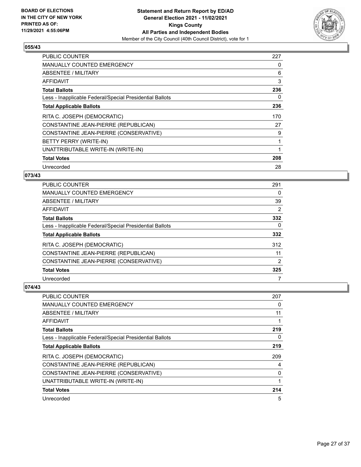

| <b>PUBLIC COUNTER</b>                                    | 227 |
|----------------------------------------------------------|-----|
| <b>MANUALLY COUNTED EMERGENCY</b>                        | 0   |
| <b>ABSENTEE / MILITARY</b>                               | 6   |
| AFFIDAVIT                                                | 3   |
| <b>Total Ballots</b>                                     | 236 |
| Less - Inapplicable Federal/Special Presidential Ballots | 0   |
| <b>Total Applicable Ballots</b>                          | 236 |
| RITA C. JOSEPH (DEMOCRATIC)                              | 170 |
| CONSTANTINE JEAN-PIERRE (REPUBLICAN)                     | 27  |
| CONSTANTINE JEAN-PIERRE (CONSERVATIVE)                   | 9   |
| BETTY PERRY (WRITE-IN)                                   | 1   |
| UNATTRIBUTABLE WRITE-IN (WRITE-IN)                       | 1   |
| <b>Total Votes</b>                                       | 208 |
| Unrecorded                                               | 28  |

## **073/43**

| <b>PUBLIC COUNTER</b>                                    | 291 |
|----------------------------------------------------------|-----|
| <b>MANUALLY COUNTED EMERGENCY</b>                        | 0   |
| ABSENTEE / MILITARY                                      | 39  |
| <b>AFFIDAVIT</b>                                         | 2   |
| <b>Total Ballots</b>                                     | 332 |
| Less - Inapplicable Federal/Special Presidential Ballots | 0   |
| <b>Total Applicable Ballots</b>                          | 332 |
| RITA C. JOSEPH (DEMOCRATIC)                              | 312 |
| CONSTANTINE JEAN-PIERRE (REPUBLICAN)                     | 11  |
| CONSTANTINE JEAN-PIERRE (CONSERVATIVE)                   | 2   |
| <b>Total Votes</b>                                       | 325 |
| Unrecorded                                               |     |

| <b>PUBLIC COUNTER</b>                                    | 207 |
|----------------------------------------------------------|-----|
| <b>MANUALLY COUNTED EMERGENCY</b>                        | 0   |
| ABSENTEE / MILITARY                                      | 11  |
| AFFIDAVIT                                                | 1   |
| <b>Total Ballots</b>                                     | 219 |
| Less - Inapplicable Federal/Special Presidential Ballots | 0   |
| <b>Total Applicable Ballots</b>                          | 219 |
| RITA C. JOSEPH (DEMOCRATIC)                              | 209 |
| CONSTANTINE JEAN-PIERRE (REPUBLICAN)                     | 4   |
| CONSTANTINE JEAN-PIERRE (CONSERVATIVE)                   | 0   |
| UNATTRIBUTABLE WRITE-IN (WRITE-IN)                       | 1   |
| <b>Total Votes</b>                                       | 214 |
| Unrecorded                                               | 5   |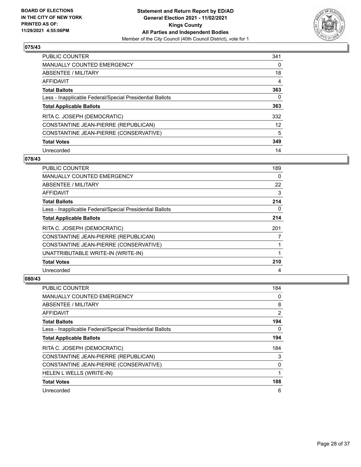

| <b>PUBLIC COUNTER</b>                                    | 341      |
|----------------------------------------------------------|----------|
| <b>MANUALLY COUNTED EMERGENCY</b>                        | $\Omega$ |
| ABSENTEE / MILITARY                                      | 18       |
| AFFIDAVIT                                                | 4        |
| <b>Total Ballots</b>                                     | 363      |
| Less - Inapplicable Federal/Special Presidential Ballots | 0        |
| <b>Total Applicable Ballots</b>                          | 363      |
| RITA C. JOSEPH (DEMOCRATIC)                              | 332      |
| CONSTANTINE JEAN-PIERRE (REPUBLICAN)                     | 12       |
| CONSTANTINE JEAN-PIERRE (CONSERVATIVE)                   | 5        |
| <b>Total Votes</b>                                       | 349      |
| Unrecorded                                               | 14       |

#### **078/43**

| <b>PUBLIC COUNTER</b>                                    | 189      |
|----------------------------------------------------------|----------|
| MANUALLY COUNTED EMERGENCY                               | $\Omega$ |
| ABSENTEE / MILITARY                                      | 22       |
| AFFIDAVIT                                                | 3        |
| <b>Total Ballots</b>                                     | 214      |
| Less - Inapplicable Federal/Special Presidential Ballots | 0        |
| <b>Total Applicable Ballots</b>                          | 214      |
| RITA C. JOSEPH (DEMOCRATIC)                              | 201      |
| CONSTANTINE JEAN-PIERRE (REPUBLICAN)                     | 7        |
| CONSTANTINE JEAN-PIERRE (CONSERVATIVE)                   |          |
| UNATTRIBUTABLE WRITE-IN (WRITE-IN)                       | 1        |
| <b>Total Votes</b>                                       | 210      |
| Unrecorded                                               | 4        |

| <b>PUBLIC COUNTER</b>                                    | 184 |
|----------------------------------------------------------|-----|
| <b>MANUALLY COUNTED EMERGENCY</b>                        | 0   |
| ABSENTEE / MILITARY                                      | 8   |
| AFFIDAVIT                                                | 2   |
| <b>Total Ballots</b>                                     | 194 |
| Less - Inapplicable Federal/Special Presidential Ballots | 0   |
| <b>Total Applicable Ballots</b>                          | 194 |
| RITA C. JOSEPH (DEMOCRATIC)                              | 184 |
| CONSTANTINE JEAN-PIERRE (REPUBLICAN)                     | 3   |
| CONSTANTINE JEAN-PIERRE (CONSERVATIVE)                   | 0   |
| HELEN L WELLS (WRITE-IN)                                 |     |
| <b>Total Votes</b>                                       | 188 |
| Unrecorded                                               | 6   |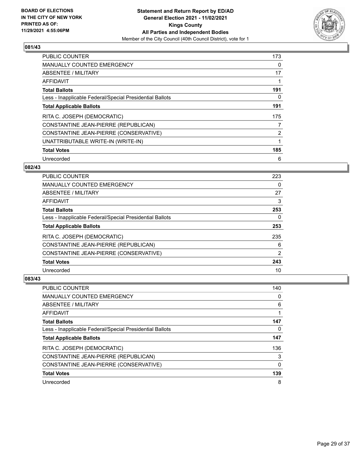

| <b>PUBLIC COUNTER</b>                                    | 173 |
|----------------------------------------------------------|-----|
| <b>MANUALLY COUNTED EMERGENCY</b>                        | 0   |
| ABSENTEE / MILITARY                                      | 17  |
| <b>AFFIDAVIT</b>                                         |     |
| <b>Total Ballots</b>                                     | 191 |
| Less - Inapplicable Federal/Special Presidential Ballots | 0   |
| <b>Total Applicable Ballots</b>                          | 191 |
| RITA C. JOSEPH (DEMOCRATIC)                              | 175 |
| CONSTANTINE JEAN-PIERRE (REPUBLICAN)                     | 7   |
| CONSTANTINE JEAN-PIERRE (CONSERVATIVE)                   | 2   |
| UNATTRIBUTABLE WRITE-IN (WRITE-IN)                       |     |
| <b>Total Votes</b>                                       | 185 |
| Unrecorded                                               | 6   |

## **082/43**

| PUBLIC COUNTER                                           | 223           |
|----------------------------------------------------------|---------------|
| <b>MANUALLY COUNTED EMERGENCY</b>                        | 0             |
| ABSENTEE / MILITARY                                      | 27            |
| <b>AFFIDAVIT</b>                                         | 3             |
| <b>Total Ballots</b>                                     | 253           |
| Less - Inapplicable Federal/Special Presidential Ballots | 0             |
| <b>Total Applicable Ballots</b>                          | 253           |
| RITA C. JOSEPH (DEMOCRATIC)                              | 235           |
| CONSTANTINE JEAN-PIERRE (REPUBLICAN)                     | 6             |
| CONSTANTINE JEAN-PIERRE (CONSERVATIVE)                   | $\mathcal{P}$ |
| <b>Total Votes</b>                                       | 243           |
| Unrecorded                                               | 10            |

| PUBLIC COUNTER                                           | 140 |
|----------------------------------------------------------|-----|
| <b>MANUALLY COUNTED EMERGENCY</b>                        | 0   |
| ABSENTEE / MILITARY                                      | 6   |
| AFFIDAVIT                                                |     |
| <b>Total Ballots</b>                                     | 147 |
| Less - Inapplicable Federal/Special Presidential Ballots | 0   |
| <b>Total Applicable Ballots</b>                          | 147 |
| RITA C. JOSEPH (DEMOCRATIC)                              | 136 |
| CONSTANTINE JEAN-PIERRE (REPUBLICAN)                     | 3   |
| CONSTANTINE JEAN-PIERRE (CONSERVATIVE)                   | 0   |
| <b>Total Votes</b>                                       | 139 |
| Unrecorded                                               | 8   |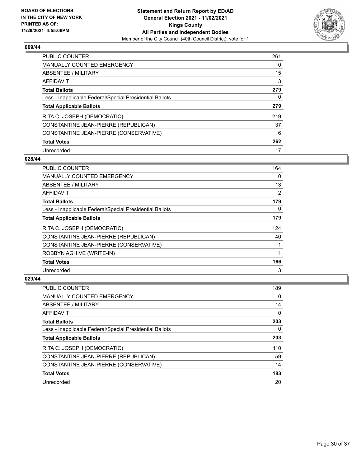

| <b>PUBLIC COUNTER</b>                                    | 261 |
|----------------------------------------------------------|-----|
| <b>MANUALLY COUNTED EMERGENCY</b>                        | 0   |
| ABSENTEE / MILITARY                                      | 15  |
| AFFIDAVIT                                                | 3   |
| <b>Total Ballots</b>                                     | 279 |
| Less - Inapplicable Federal/Special Presidential Ballots | 0   |
| <b>Total Applicable Ballots</b>                          | 279 |
| RITA C. JOSEPH (DEMOCRATIC)                              | 219 |
| CONSTANTINE JEAN-PIERRE (REPUBLICAN)                     | 37  |
| CONSTANTINE JEAN-PIERRE (CONSERVATIVE)                   | 6   |
| <b>Total Votes</b>                                       | 262 |
|                                                          |     |

#### **028/44**

| PUBLIC COUNTER                                           | 164 |
|----------------------------------------------------------|-----|
| MANUALLY COUNTED EMERGENCY                               | 0   |
| ABSENTEE / MILITARY                                      | 13  |
| AFFIDAVIT                                                | 2   |
| <b>Total Ballots</b>                                     | 179 |
| Less - Inapplicable Federal/Special Presidential Ballots | 0   |
| <b>Total Applicable Ballots</b>                          | 179 |
| RITA C. JOSEPH (DEMOCRATIC)                              | 124 |
| CONSTANTINE JEAN-PIERRE (REPUBLICAN)                     | 40  |
| CONSTANTINE JEAN-PIERRE (CONSERVATIVE)                   |     |
| ROBBYN AGHIVE (WRITE-IN)                                 |     |
| <b>Total Votes</b>                                       | 166 |
| Unrecorded                                               | 13  |

| <b>PUBLIC COUNTER</b>                                    | 189 |
|----------------------------------------------------------|-----|
| <b>MANUALLY COUNTED EMERGENCY</b>                        | 0   |
| ABSENTEE / MILITARY                                      | 14  |
| AFFIDAVIT                                                | 0   |
| <b>Total Ballots</b>                                     | 203 |
| Less - Inapplicable Federal/Special Presidential Ballots | 0   |
| <b>Total Applicable Ballots</b>                          | 203 |
|                                                          |     |
| RITA C. JOSEPH (DEMOCRATIC)                              | 110 |
| CONSTANTINE JEAN-PIERRE (REPUBLICAN)                     | 59  |
| CONSTANTINE JEAN-PIERRE (CONSERVATIVE)                   | 14  |
| <b>Total Votes</b>                                       | 183 |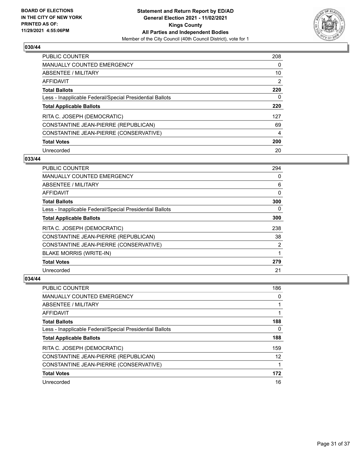

| <b>PUBLIC COUNTER</b>                                    | 208 |
|----------------------------------------------------------|-----|
| MANUALLY COUNTED EMERGENCY                               | 0   |
| ABSENTEE / MILITARY                                      | 10  |
| <b>AFFIDAVIT</b>                                         | 2   |
| <b>Total Ballots</b>                                     | 220 |
| Less - Inapplicable Federal/Special Presidential Ballots | 0   |
| <b>Total Applicable Ballots</b>                          | 220 |
| RITA C. JOSEPH (DEMOCRATIC)                              | 127 |
| CONSTANTINE JEAN-PIERRE (REPUBLICAN)                     | 69  |
| CONSTANTINE JEAN-PIERRE (CONSERVATIVE)                   | 4   |
| <b>Total Votes</b>                                       | 200 |
| Unrecorded                                               | 20  |

#### **033/44**

| PUBLIC COUNTER                                           | 294      |
|----------------------------------------------------------|----------|
| <b>MANUALLY COUNTED EMERGENCY</b>                        | $\Omega$ |
| ABSENTEE / MILITARY                                      | 6        |
| AFFIDAVIT                                                | 0        |
| <b>Total Ballots</b>                                     | 300      |
| Less - Inapplicable Federal/Special Presidential Ballots | $\Omega$ |
| <b>Total Applicable Ballots</b>                          | 300      |
| RITA C. JOSEPH (DEMOCRATIC)                              | 238      |
| CONSTANTINE JEAN-PIERRE (REPUBLICAN)                     | 38       |
| CONSTANTINE JEAN-PIERRE (CONSERVATIVE)                   | 2        |
| <b>BLAKE MORRIS (WRITE-IN)</b>                           |          |
| <b>Total Votes</b>                                       | 279      |
| Unrecorded                                               | 21       |

| PUBLIC COUNTER                                           | 186 |
|----------------------------------------------------------|-----|
| <b>MANUALLY COUNTED EMERGENCY</b>                        | 0   |
| ABSENTEE / MILITARY                                      |     |
| AFFIDAVIT                                                |     |
| <b>Total Ballots</b>                                     | 188 |
| Less - Inapplicable Federal/Special Presidential Ballots | 0   |
| <b>Total Applicable Ballots</b>                          | 188 |
| RITA C. JOSEPH (DEMOCRATIC)                              | 159 |
| CONSTANTINE JEAN-PIERRE (REPUBLICAN)                     | 12  |
| CONSTANTINE JEAN-PIERRE (CONSERVATIVE)                   |     |
| <b>Total Votes</b>                                       | 172 |
| Unrecorded                                               | 16  |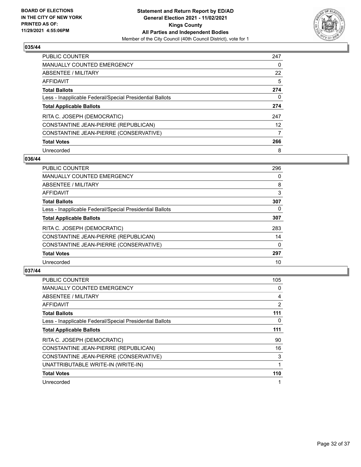

| <b>PUBLIC COUNTER</b>                                    | 247 |
|----------------------------------------------------------|-----|
| <b>MANUALLY COUNTED EMERGENCY</b>                        | 0   |
| ABSENTEE / MILITARY                                      | 22  |
| AFFIDAVIT                                                | 5   |
| <b>Total Ballots</b>                                     | 274 |
| Less - Inapplicable Federal/Special Presidential Ballots | 0   |
| <b>Total Applicable Ballots</b>                          | 274 |
| RITA C. JOSEPH (DEMOCRATIC)                              | 247 |
| CONSTANTINE JEAN-PIERRE (REPUBLICAN)                     | 12  |
| CONSTANTINE JEAN-PIERRE (CONSERVATIVE)                   | 7   |
| <b>Total Votes</b>                                       | 266 |
|                                                          |     |

#### **036/44**

| <b>PUBLIC COUNTER</b>                                    | 296      |
|----------------------------------------------------------|----------|
| <b>MANUALLY COUNTED EMERGENCY</b>                        | 0        |
| ABSENTEE / MILITARY                                      | 8        |
| <b>AFFIDAVIT</b>                                         | 3        |
| <b>Total Ballots</b>                                     | 307      |
| Less - Inapplicable Federal/Special Presidential Ballots | 0        |
| <b>Total Applicable Ballots</b>                          | 307      |
| RITA C. JOSEPH (DEMOCRATIC)                              | 283      |
| CONSTANTINE JEAN-PIERRE (REPUBLICAN)                     | 14       |
| CONSTANTINE JEAN-PIERRE (CONSERVATIVE)                   | $\Omega$ |
| <b>Total Votes</b>                                       | 297      |
| Unrecorded                                               | 10       |

| <b>PUBLIC COUNTER</b>                                    | 105 |
|----------------------------------------------------------|-----|
| <b>MANUALLY COUNTED EMERGENCY</b>                        | 0   |
| ABSENTEE / MILITARY                                      | 4   |
| AFFIDAVIT                                                | 2   |
| <b>Total Ballots</b>                                     | 111 |
| Less - Inapplicable Federal/Special Presidential Ballots | 0   |
| <b>Total Applicable Ballots</b>                          | 111 |
| RITA C. JOSEPH (DEMOCRATIC)                              | 90  |
| CONSTANTINE JEAN-PIERRE (REPUBLICAN)                     | 16  |
| CONSTANTINE JEAN-PIERRE (CONSERVATIVE)                   | 3   |
| UNATTRIBUTABLE WRITE-IN (WRITE-IN)                       |     |
| <b>Total Votes</b>                                       | 110 |
| Unrecorded                                               |     |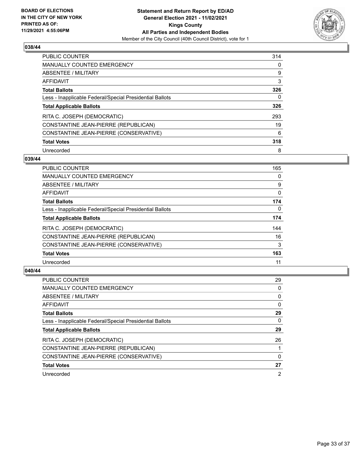

| <b>PUBLIC COUNTER</b>                                    | 314 |
|----------------------------------------------------------|-----|
| <b>MANUALLY COUNTED EMERGENCY</b>                        | 0   |
| ABSENTEE / MILITARY                                      | 9   |
| AFFIDAVIT                                                | 3   |
| <b>Total Ballots</b>                                     | 326 |
| Less - Inapplicable Federal/Special Presidential Ballots | 0   |
| <b>Total Applicable Ballots</b>                          | 326 |
| RITA C. JOSEPH (DEMOCRATIC)                              | 293 |
| CONSTANTINE JEAN-PIERRE (REPUBLICAN)                     | 19  |
| CONSTANTINE JEAN-PIERRE (CONSERVATIVE)                   | 6   |
|                                                          |     |
| <b>Total Votes</b>                                       | 318 |

#### **039/44**

| <b>PUBLIC COUNTER</b>                                    | 165      |
|----------------------------------------------------------|----------|
| MANUALLY COUNTED EMERGENCY                               | 0        |
| ABSENTEE / MILITARY                                      | 9        |
| <b>AFFIDAVIT</b>                                         | 0        |
| <b>Total Ballots</b>                                     | 174      |
| Less - Inapplicable Federal/Special Presidential Ballots | $\Omega$ |
| <b>Total Applicable Ballots</b>                          | 174      |
| RITA C. JOSEPH (DEMOCRATIC)                              | 144      |
| CONSTANTINE JEAN-PIERRE (REPUBLICAN)                     | 16       |
| CONSTANTINE JEAN-PIERRE (CONSERVATIVE)                   | 3        |
| <b>Total Votes</b>                                       | 163      |
| Unrecorded                                               | 11       |

| <b>PUBLIC COUNTER</b>                                    | 29             |
|----------------------------------------------------------|----------------|
| <b>MANUALLY COUNTED EMERGENCY</b>                        | 0              |
| ABSENTEE / MILITARY                                      | 0              |
| AFFIDAVIT                                                | 0              |
| <b>Total Ballots</b>                                     | 29             |
| Less - Inapplicable Federal/Special Presidential Ballots | 0              |
| <b>Total Applicable Ballots</b>                          | 29             |
| RITA C. JOSEPH (DEMOCRATIC)                              | 26             |
| CONSTANTINE JEAN-PIERRE (REPUBLICAN)                     |                |
| CONSTANTINE JEAN-PIERRE (CONSERVATIVE)                   | 0              |
| <b>Total Votes</b>                                       | 27             |
| Unrecorded                                               | $\overline{2}$ |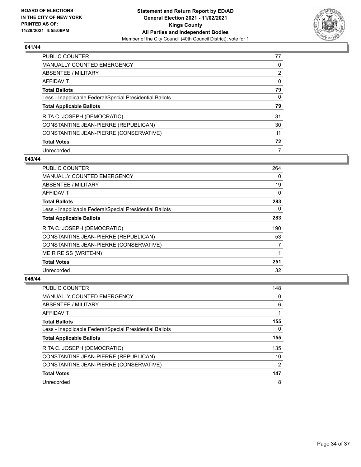

| <b>PUBLIC COUNTER</b>                                    | 77             |
|----------------------------------------------------------|----------------|
| <b>MANUALLY COUNTED EMERGENCY</b>                        | 0              |
| ABSENTEE / MILITARY                                      | $\overline{2}$ |
| AFFIDAVIT                                                | 0              |
| <b>Total Ballots</b>                                     | 79             |
| Less - Inapplicable Federal/Special Presidential Ballots | 0              |
| <b>Total Applicable Ballots</b>                          | 79             |
| RITA C. JOSEPH (DEMOCRATIC)                              | 31             |
|                                                          |                |
| CONSTANTINE JEAN-PIERRE (REPUBLICAN)                     | 30             |
| CONSTANTINE JEAN-PIERRE (CONSERVATIVE)                   | 11             |
| <b>Total Votes</b>                                       | 72             |

#### **043/44**

| PUBLIC COUNTER                                           | 264 |
|----------------------------------------------------------|-----|
| <b>MANUALLY COUNTED EMERGENCY</b>                        | 0   |
| ABSENTEE / MILITARY                                      | 19  |
| AFFIDAVIT                                                | 0   |
| <b>Total Ballots</b>                                     | 283 |
| Less - Inapplicable Federal/Special Presidential Ballots | 0   |
| <b>Total Applicable Ballots</b>                          | 283 |
| RITA C. JOSEPH (DEMOCRATIC)                              | 190 |
| CONSTANTINE JEAN-PIERRE (REPUBLICAN)                     | 53  |
| CONSTANTINE JEAN-PIERRE (CONSERVATIVE)                   | 7   |
| MEIR REISS (WRITE-IN)                                    | 1   |
| <b>Total Votes</b>                                       | 251 |
| Unrecorded                                               | 32  |

| <b>PUBLIC COUNTER</b>                                    | 148           |
|----------------------------------------------------------|---------------|
| <b>MANUALLY COUNTED EMERGENCY</b>                        | 0             |
| ABSENTEE / MILITARY                                      | 6             |
| AFFIDAVIT                                                |               |
| <b>Total Ballots</b>                                     | 155           |
| Less - Inapplicable Federal/Special Presidential Ballots | 0             |
| <b>Total Applicable Ballots</b>                          | 155           |
| RITA C. JOSEPH (DEMOCRATIC)                              | 135           |
| CONSTANTINE JEAN-PIERRE (REPUBLICAN)                     | 10            |
|                                                          |               |
| CONSTANTINE JEAN-PIERRE (CONSERVATIVE)                   | $\mathcal{P}$ |
| <b>Total Votes</b>                                       | 147           |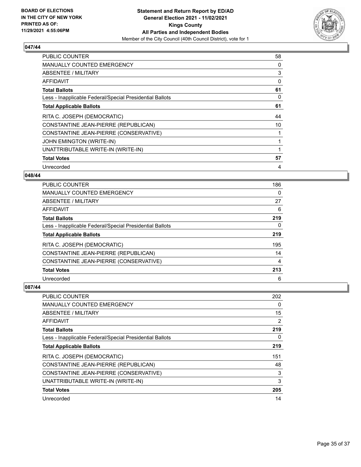

| <b>PUBLIC COUNTER</b>                                    | 58 |
|----------------------------------------------------------|----|
| <b>MANUALLY COUNTED EMERGENCY</b>                        | 0  |
| <b>ABSENTEE / MILITARY</b>                               | 3  |
| AFFIDAVIT                                                | 0  |
| <b>Total Ballots</b>                                     | 61 |
| Less - Inapplicable Federal/Special Presidential Ballots | 0  |
| <b>Total Applicable Ballots</b>                          | 61 |
| RITA C. JOSEPH (DEMOCRATIC)                              | 44 |
| CONSTANTINE JEAN-PIERRE (REPUBLICAN)                     | 10 |
| CONSTANTINE JEAN-PIERRE (CONSERVATIVE)                   |    |
| JOHN EMINGTON (WRITE-IN)                                 | 1  |
| UNATTRIBUTABLE WRITE-IN (WRITE-IN)                       |    |
| <b>Total Votes</b>                                       | 57 |
| Unrecorded                                               | 4  |

## **048/44**

| <b>PUBLIC COUNTER</b>                                    | 186      |
|----------------------------------------------------------|----------|
| <b>MANUALLY COUNTED EMERGENCY</b>                        | 0        |
| ABSENTEE / MILITARY                                      | 27       |
| <b>AFFIDAVIT</b>                                         | 6        |
| <b>Total Ballots</b>                                     | 219      |
| Less - Inapplicable Federal/Special Presidential Ballots | $\Omega$ |
| <b>Total Applicable Ballots</b>                          | 219      |
| RITA C. JOSEPH (DEMOCRATIC)                              | 195      |
| CONSTANTINE JEAN-PIERRE (REPUBLICAN)                     | 14       |
| CONSTANTINE JEAN-PIERRE (CONSERVATIVE)                   | 4        |
| <b>Total Votes</b>                                       | 213      |
| Unrecorded                                               | 6        |

| PUBLIC COUNTER                                           | 202            |
|----------------------------------------------------------|----------------|
| MANUALLY COUNTED EMERGENCY                               | 0              |
| ABSENTEE / MILITARY                                      | 15             |
| AFFIDAVIT                                                | $\overline{2}$ |
| <b>Total Ballots</b>                                     | 219            |
| Less - Inapplicable Federal/Special Presidential Ballots | 0              |
| <b>Total Applicable Ballots</b>                          | 219            |
| RITA C. JOSEPH (DEMOCRATIC)                              | 151            |
| CONSTANTINE JEAN-PIERRE (REPUBLICAN)                     | 48             |
| CONSTANTINE JEAN-PIERRE (CONSERVATIVE)                   | 3              |
| UNATTRIBUTABLE WRITE-IN (WRITE-IN)                       | 3              |
| <b>Total Votes</b>                                       | 205            |
| Unrecorded                                               | 14             |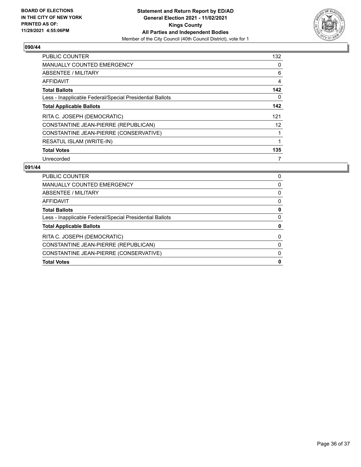

| <b>PUBLIC COUNTER</b>                                    | 132               |
|----------------------------------------------------------|-------------------|
| <b>MANUALLY COUNTED EMERGENCY</b>                        | 0                 |
| ABSENTEE / MILITARY                                      | 6                 |
| <b>AFFIDAVIT</b>                                         | 4                 |
| <b>Total Ballots</b>                                     | 142               |
| Less - Inapplicable Federal/Special Presidential Ballots | 0                 |
| <b>Total Applicable Ballots</b>                          | 142               |
| RITA C. JOSEPH (DEMOCRATIC)                              | 121               |
| CONSTANTINE JEAN-PIERRE (REPUBLICAN)                     | $12 \overline{ }$ |
| CONSTANTINE JEAN-PIERRE (CONSERVATIVE)                   | 1                 |
| RESATUL ISLAM (WRITE-IN)                                 | 1                 |
| <b>Total Votes</b>                                       | 135               |
| Unrecorded                                               | 7                 |

| <b>PUBLIC COUNTER</b>                                    | 0        |
|----------------------------------------------------------|----------|
| MANUALLY COUNTED EMERGENCY                               | 0        |
| ABSENTEE / MILITARY                                      | 0        |
| AFFIDAVIT                                                | 0        |
| <b>Total Ballots</b>                                     | 0        |
| Less - Inapplicable Federal/Special Presidential Ballots | 0        |
| <b>Total Applicable Ballots</b>                          | 0        |
| RITA C. JOSEPH (DEMOCRATIC)                              | $\Omega$ |
| CONSTANTINE JEAN-PIERRE (REPUBLICAN)                     | 0        |
| CONSTANTINE JEAN-PIERRE (CONSERVATIVE)                   | 0        |
| <b>Total Votes</b>                                       | 0        |